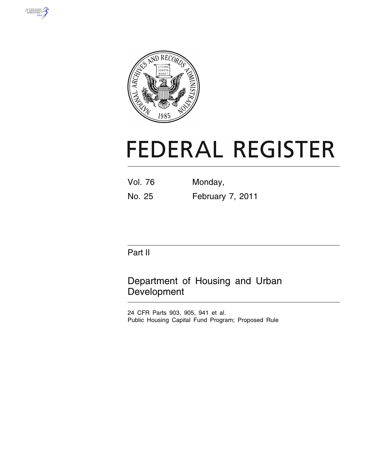



# **FEDERAL REGISTER**

| <b>Vol. 76</b> | Monday,          |
|----------------|------------------|
| No. 25         | February 7, 2011 |

# Part II

Department of Housing and Urban Development

24 CFR Parts 903, 905, 941 et al. Public Housing Capital Fund Program; Proposed Rule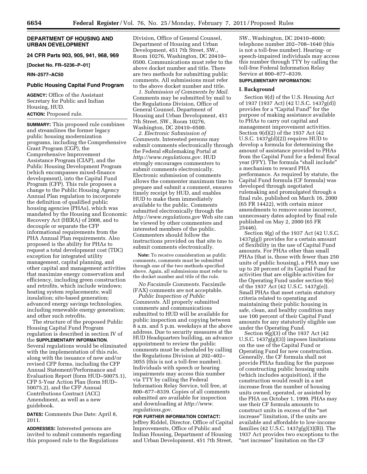# **DEPARTMENT OF HOUSING AND URBAN DEVELOPMENT**

**24 CFR Parts 903, 905, 941, 968, 969** 

**[Docket No. FR–5236–P–01]** 

# **RIN–2577–AC50**

# **Public Housing Capital Fund Program**

**AGENCY:** Office of the Assistant Secretary for Public and Indian Housing, HUD.

# **ACTION:** Proposed rule.

**SUMMARY:** This proposed rule combines and streamlines the former legacy public housing modernization programs, including the Comprehensive Grant Program (CGP), the Comprehensive Improvement Assistance Program (CIAP), and the Public Housing Development Program (which encompasses mixed-finance development), into the Capital Fund Program (CFP). This rule proposes a change to the Public Housing Agency Annual Plan regulation to incorporate the definition of qualified public housing agencies (PHAs), which was mandated by the Housing and Economic Recovery Act (HERA) of 2008, and to decouple or separate the CFP informational requirements from the PHA Annual Plan requirements. Also proposed is the ability for PHAs to request a total development cost (TDC) exception for integrated utility management, capital planning, and other capital and management activities that maximize energy conservation and efficiency, including green construction and retrofits, which include windows; heating system replacements; wall insulation; site-based generation; advanced energy savings technologies, including renewable energy generation; and other such retrofits.

The structure of the proposed Public Housing Capital Fund Program regulation is described in section IV of the **SUPPLEMENTARY INFORMATION**. Several regulations would be eliminated with the implementation of this rule, along with the issuance of new and/or revised CFP forms, including the CFP Annual Statement/Performance and Evaluation Report (form HUD–50075.1), CFP 5-Year Action Plan (form HUD– 50075.2), and the CFP Annual Contributions Contract (ACC) Amendment, as well as a new guidebook.

**DATES:** Comments Due Date: April 8, 2011.

**ADDRESSES:** Interested persons are invited to submit comments regarding this proposed rule to the Regulations

Division, Office of General Counsel, Department of Housing and Urban Development, 451 7th Street, SW., Room 10276, Washington, DC 20410– 0500. Communications must refer to the above docket number and title. There are two methods for submitting public comments. All submissions must refer to the above docket number and title.

*1. Submission of Comments by Mail.*  Comments may be submitted by mail to the Regulations Division, Office of General Counsel, Department of Housing and Urban Development, 451 7th Street, SW., Room 10276, Washington, DC 20410–0500.

*2. Electronic Submission of Comments.* Interested persons may submit comments electronically through the Federal eRulemaking Portal at *[http://www.regulations.gov.](http://www.regulations.gov)* HUD strongly encourages commenters to submit comments electronically. Electronic submission of comments allows the commenter maximum time to prepare and submit a comment, ensures timely receipt by HUD, and enables HUD to make them immediately available to the public. Comments submitted electronically through the *<http://www.regulations.gov>* Web site can be viewed by other commenters and interested members of the public. Commenters should follow the instructions provided on that site to submit comments electronically.

**Note:** To receive consideration as public comments, comments must be submitted through one of the two methods specified above. Again, all submissions must refer to the docket number and title of the rule.

*No Facsimile Comments.* Facsimile (FAX) comments are not acceptable.

*Public Inspection of Public Comments.* All properly submitted comments and communications submitted to HUD will be available for public inspection and copying between 8 a.m. and 5 p.m. weekdays at the above address. Due to security measures at the HUD Headquarters building, an advance appointment to review the public comments must be scheduled by calling the Regulations Division at 202–402– 3055 (this is not a toll-free number). Individuals with speech or hearing impairments may access this number via TTY by calling the Federal Information Relay Service, toll free, at 800–877–8339. Copies of all comments submitted are available for inspection and downloading at *[http://www.](http://www.regulations.gov) [regulations.gov.](http://www.regulations.gov)* 

# **FOR FURTHER INFORMATION CONTACT:**  Jeffrey Riddel, Director, Office of Capital Improvements, Office of Public and Indian Housing, Department of Housing and Urban Development, 451 7th Street,

SW., Washington, DC 20410–8000; telephone number 202–708–1640 (this is not a toll-free number). Hearing- or speech-impaired individuals may access this number through TTY by calling the toll-free Federal Information Relay Service at 800–877–8339.

# **SUPPLEMENTARY INFORMATION:**

# **I. Background**

Section 9(d) of the U.S. Housing Act of 1937 (1937 Act) (42 U.S.C. 1437g(d)) provides for a "Capital Fund" for the purpose of making assistance available to PHAs to carry out capital and management improvement activities. Section 9(d)(2) of the 1937 Act (42 U.S.C. 1437g(d)(2)) requires HUD to develop a formula for determining the amount of assistance provided to PHAs from the Capital Fund for a federal fiscal year (FFY). The formula "shall include" a mechanism to reward PHA performance. As required by statute, the Capital Fund formula (CF formula) was developed through negotiated rulemaking and promulgated through a final rule, published on March 16, 2000 (65 FR 14422), with certain minor amendments to remove some incorrect, unnecessary dates adopted by final rule published on May 2, 2000 (65 FR 25446).

Section 9(g) of the 1937 Act (42 U.S.C. 1437g(g)) provides for a certain amount of flexibility in the use of Capital Fund amounts. For PHAs other than small PHAs (that is, those with fewer than 250 units of public housing), a PHA may use up to 20 percent of its Capital Fund for activities that are eligible activities for the Operating Fund under section 9(e) of the 1937 Act (42 U.S.C. 1437g(e)). Small PHAs that meet certain statutory criteria related to operating and maintaining their public housing in safe, clean, and healthy condition may use 100 percent of their Capital Fund amounts for any statutorily eligible use under the Operating Fund.

Section 9(g)(3) of the 1937 Act (42 U.S.C. 1437g(g)(3)) imposes limitations on the use of the Capital Fund or Operating Fund for new construction. Generally, the CF formula shall not provide PHAs funding for the purpose of constructing public housing units (which includes acquisition), if the construction would result in a net increase from the number of housing units owned, operated, or assisted by the PHA on October 1, 1999. PHAs may use their CF formula amounts to construct units in excess of the ''net increase'' limitation, if the units are available and affordable to low-income families (42 U.S.C. 1437g(g)(3)(B)). The 1937 Act provides two exceptions to the "net increase" limitation on the CF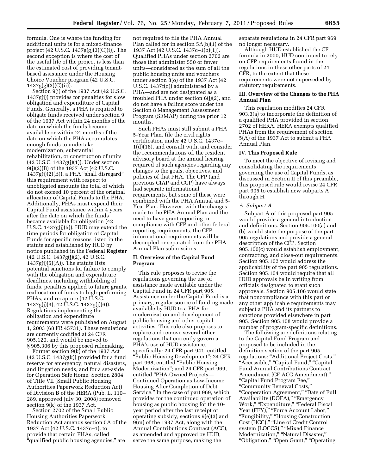formula. One is where the funding for additional units is for a mixed-finance project (42 U.S.C. 1437g(g)(3)(C)(i)). The second exception is where the cost of the useful life of the project is less than the estimated cost of providing tenantbased assistance under the Housing Choice Voucher program (42 U.S.C. 1437g(g)(3)(C)(ii)).

Section 9(j) of the 1937 Act (42 U.S.C. 1437g(j)) provides for penalties for slow obligation and expenditure of Capital Funds. Generally, a PHA is required to obligate funds received under section 9 of the 1937 Act within 24 months of the date on which the funds become available or within 24 months of the date on which the PHA accumulates enough funds to undertake modernization, substantial rehabilitation, or construction of units (42 U.S.C. 1437g(j)(1)). Under section 9(j)(2)(B) of the 1937 Act (42 U.S.C. 1437g(j)(2)(B)), a PHA ''shall disregard'' this requirement with respect to unobligated amounts the total of which do not exceed 10 percent of the original allocation of Capital Funds to the PHA. Additionally, PHAs must expend their Capital Fund assistance within 4 years after the date on which the funds became available for obligation (42 U.S.C. 1437g(j)(5)). HUD may extend the time periods for obligation of Capital Funds for specific reasons listed in the statute and established by HUD by notice published in the **Federal Register**  (42 U.S.C. 1437g(j)(2), 42 U.S.C.  $1437g(j)(5)(A)$ . The statute lists potential sanctions for failure to comply with the obligation and expenditure deadlines, including withholding of funds, penalties applied to future grants, reallocation of funds to high-performing PHAs, and recapture (42 U.S.C. 1437g(j)(3), 42 U.S.C. 1437g(j)(6)). Regulations implementing the obligation and expenditure requirements were published on August 1, 2003 (68 FR 45731). These regulations are currently codified at 24 CFR 905.120, and would be moved to § 905.306 by this proposed rulemaking.

Former section 9(k) of the 1937 Act  $(42 \text{ U.S.C. } 1437\text{g(k)})$  provided for a fund reserve for emergency, natural disasters, and litigation needs, and for a set-aside for Operation Safe Home. Section 2804 of Title VII (Small Public Housing Authorities Paperwork Reduction Act) of Division B of the HERA (Pub. L. 110– 289, approved July 30, 2008) removed section 9(k) of the 1937 Act.

Section 2702 of the Small Public Housing Authorities Paperwork Reduction Act amends section 5A of the 1937 Act (42 U.S.C. 1437c–1), to provide that certain PHAs, called "qualified public housing agencies," are

not required to file the PHA Annual Plan called for in section 5A(b)(1) of the 1937 Act (42 U.S.C. 1437c–1(b)(1)). Qualified PHAs under section 2702 are those that administer 550 or fewer units—considered as the sum of all the public housing units and vouchers under section 8(o) of the 1937 Act (42 U.S.C. 1437f(o)) administered by a PHA—and are not designated as a troubled PHA under section 6(j)(2), and do not have a failing score under the Section 8 Management Assessment Program (SEMAP) during the prior 12 months.

Such PHAs must still submit a PHA 5-Year Plan, file the civil rights certification under 42 U.S.C. 1437c– 1(d)(16), and consult with, and consider the recommendations of, the resident advisory board at the annual hearing required of such agencies regarding any changes to the goals, objectives, and policies of that PHA. The CFP (and previous CIAP and CGP) have always had separate informational requirements, but some of these were combined with the PHA Annual and 5- Year Plan. However, with the changes made to the PHA Annual Plan and the need to have grant reporting in compliance with CFP and other federal reporting requirements, the CFP informational requirements will be decoupled or separated from the PHA Annual Plan submissions.

# **II. Overview of the Capital Fund Program**

This rule proposes to revise the regulations governing the use of assistance made available under the Capital Fund in 24 CFR part 905. Assistance under the Capital Fund is a primary, regular source of funding made available by HUD to a PHA for modernization and development of public housing and other capital activities. This rule also proposes to replace and remove several other regulations that currently govern a PHA's use of HUD assistance, specifically: 24 CFR part 941, entitled "Public Housing Development"; 24 CFR part 968, entitled "Public Housing Modernization''; and 24 CFR part 969, entitled ''PHA-Owned Projects— Continued Operation as Low-Income Housing After Completion of Debt Service.'' In the case of part 969, which provides for the continued operation of housing as public housing for the 10 year period after the last receipt of operating subsidy, sections 9(e)(3) and 9(m) of the 1937 Act, along with the Annual Contributions Contract (ACC), as amended and approved by HUD, serve the same purpose, making the

separate regulations in 24 CFR part 969 no longer necessary.

Although HUD established the CF formula in 2000, HUD continued to rely on CFP requirements found in the regulations in these other parts of 24 CFR, to the extent that these requirements were not superseded by statutory requirements.

# **III. Overview of the Changes to the PHA Annual Plan**

This regulation modifies 24 CFR 903.3(a) to incorporate the definition of a qualified PHA provided in section 2702 of HERA. HERA exempts qualified PHAs from the requirement of section 5(A) of the 1937 Act to submit a PHA Annual Plan.

#### **IV. This Proposed Rule**

To meet the objective of revising and consolidating the requirements governing the use of Capital Funds, as discussed in Section II of this preamble, this proposed rule would revise 24 CFR part 905 to establish new subparts A through H.

#### *A. Subpart A*

Subpart A of this proposed part 905 would provide a general introduction and definitions. Section 905.100(a) and (b) would state the purpose of the part 905 regulations and provide a general description of the CFP. Section 905.100(c) would establish employment, contracting, and close-out requirements. Section 905.102 would address the applicability of the part 905 regulations. Section 905.104 would require that all HUD approvals be in writing from officials designated to grant such approvals. Section 905.106 would state that noncompliance with this part or any other applicable requirements may subject a PHA and its partners to sanctions provided elsewhere in part 905. Section 905.108 would provide a number of program-specific definitions.

The following are definitions relating to the Capital Fund Program and proposed to be included in the definition section of the part 905 regulations: "Additional Project Costs," "Accessible," "Capital Fund," "Capital Fund Annual Contributions Contract Amendment (CF ACC Amendment),'' ''Capital Fund Program Fee,'' ''Community Renewal Costs,'' ''Cooperation Agreement,'' ''Date of Full Availability (DOFA)," "Emergency Work,'' ''Expenditure,'' ''Federal Fiscal Year (FFY)," "Force Account Labor," ''Fungibility,'' ''Housing Construction Cost (HCC),'' ''Line of Credit Control system (LOCCS)," "Mixed Finance Modernization," "Natural Disaster," ''Obligation,'' ''Open Grant,'' ''Operating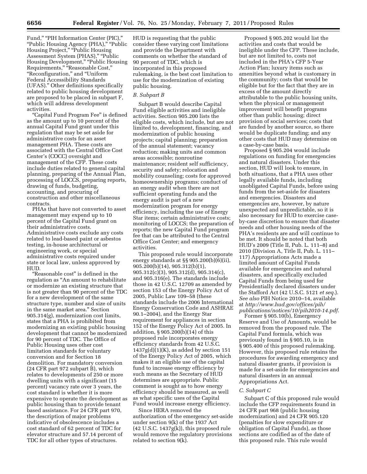Fund," "PIH Information Center (PIC)," ''Public Housing Agency (PHA),'' ''Public Housing Project," "Public Housing Assessment System (PHAS)," "Public Housing Development,'' ''Public Housing Requirements," "Reasonable Cost," ''Reconfiguration,'' and ''Uniform Federal Accessibility Standards (UFAS).'' Other definitions specifically related to public housing development are proposed to be placed in subpart F, which will address development activities.

''Capital Fund Program Fee'' is defined as the amount up to 10 percent of the annual Capital Fund grant under this regulation that may be set aside for administrative costs for an asset management PHA. These costs are associated with the Central Office Cost Center's (COCC) oversight and management of the CFP. These costs include duties related to general capital planning, preparing of the Annual Plan, processing of LOCCS, preparing reports, drawing of funds, budgeting, accounting, and procuring of construction and other miscellaneous contracts.

PHAs that have not converted to asset management may expend up to 10 percent of the Capital Fund grant on their administrative costs. Administrative costs exclude any costs related to lead-based paint or asbestos testing, in-house architectural or engineering work, or special administrative costs required under state or local law, unless approved by HUD.

''Reasonable cost'' is defined in the regulation as ''An amount to rehabilitate or modernize an existing structure that is not greater than 90 percent of the TDC for a new development of the same structure type, number and size of units in the same market area.'' Section 905.314(g), modernization cost limits, states that a PHA is prohibited from modernizing an existing public housing development that cannot be modernized for 90 percent of TDC. The Office of Public Housing uses other cost limitation standards for voluntary conversion and for Section 18 demolition. For mandatory conversion (24 CFR part 972 subpart B), which relates to developments of 250 or more dwelling units with a significant (15 percent) vacancy rate over 3 years, the cost standard is whether it is more expensive to operate the development as public housing than to provide tenant based assistance. For 24 CFR part 970, the description of major problems indicative of obsolescence includes a cost standard of 62 percent of TDC for elevator structure and 57.14 percent of TDC for all other types of structures.

HUD is requesting that the public consider these varying cost limitations and provide the Department with comments on whether the standard of 90 percent of TDC, which is incorporated in this proposed rulemaking, is the best cost limitation to use for the modernization of existing public housing.

# *B. Subpart B*

Subpart B would describe Capital Fund eligible activities and ineligible activities. Section 905.200 lists the eligible costs, which include, but are not limited to, development, financing, and modernization of public housing projects; capital planning; preparation of the annual statement; vacancy reduction; making units and common areas accessible; nonroutine maintenance; resident self sufficiency, security and safety; relocation and mobility counseling; costs for approved homeownership programs; conduct of an energy audit when there are not sufficient operating funds and the energy audit is part of a new modernization program for energy efficiency, including the use of Energy Star items; certain administrative costs; monitoring of LOCCS; the preparation of reports; the new Capital Fund program fee that can be attributed to the Central Office Cost Center; and emergency activities.

This proposed rule would incorporate energy standards at §§ 905.200(b)(6)(ii), 905.200(b)(14), 905.312(b)(1), 905.312(c)(3), 905.312(d), 905.314(c), and 905.316(e). The standards include those in 42 U.S.C. 12709 as amended by section 153 of the Energy Policy Act of 2005, Public Law 109–58 (these standards include the 2006 International Energy Conservation Code and ASHRAE 90.1–2004), and the Energy Star requirement for appliances in section 152 of the Energy Policy Act of 2005. In addition, § 905.200(b)(14) of this proposed rule incorporates energy efficiency standards from 42 U.S.C.  $1437g(d)(1)(K)$ , as added by section 151 of the Energy Policy Act of 2005, which makes it an eligible use of the capital fund to increase energy efficiency by such means as the Secretary of HUD determines are appropriate. Public comment is sought as to how energy efficiency should be measured, as well as what specific uses of the Capital Fund would increase energy efficiency.

Since HERA removed the authorization of the emergency set-aside under section 9(k) of the 1937 Act (42 U.S.C. 1437g(k)), this proposed rule would remove the regulatory provisions related to section 9(k).

Proposed § 905.202 would list the activities and costs that would be ineligible under the CFP. These include, but are not limited to, costs not included in the PHA's CFP 5-Year Action Plan; luxury items such as amenities beyond what is customary in the community; costs that would be eligible but for the fact that they are in excess of the amount directly attributable to the public housing units, when the physical or management improvement will benefit programs other than public housing; direct provision of social services; costs that are funded by another source, so there would be duplicate funding; and any other costs that HUD may determine on a case-by-case basis.

Proposed § 905.204 would include regulations on funding for emergencies and natural disasters. Under this section, HUD will look to ensure, in both situations, that a PHA uses other legally available funds, including unobligated Capital Funds, before using funds from the set-aside for disasters and emergencies. Disasters and emergencies are, however, by nature unexpected and unpredictable, so it is also necessary for HUD to exercise caseby-case discretion to ensure that disaster needs and other housing needs of the PHA's residents are and will continue to be met. It should be noted that both HUD's 2009 (Title II, Pub. L. 111–8) and 2010 (Division A, Title II, Pub. L. 111– 117) Appropriations Acts made a limited amount of Capital Funds available for emergencies and natural disasters, and specifically excluded Capital Funds from being used for Presidentially declared disasters under the Stafford Act (42 U.S.C. 5121 *et seq.*). *See also* PIH Notice 2010–14, available at *[http://www.hud.gov/offices/pih/](http://www.hud.gov/offices/pih/publications/notices/10/pih2010-14.pdf)  [publications/notices/10/pih2010-14.pdf](http://www.hud.gov/offices/pih/publications/notices/10/pih2010-14.pdf)*.

Former § 905.10(b), Emergency Reserve and Use of Amounts, would be removed from the proposed rule. The Capital Fund formula, which was previously found in § 905.10, is in § 905.400 of this proposed rulemaking. However, this proposed rule retains the procedures for awarding emergency and natural disaster grants, if provision is made for a set-aside for emergencies and natural disasters in an annual Appropriations Act.

#### *C. Subpart C*

Subpart C of this proposed rule would include the CFP requirements found in 24 CFR part 968 (public housing modernization) and 24 CFR 905.120 (penalties for slow expenditure or obligation of Capital Funds), as those sections are codified as of the date of this proposed rule. This rule would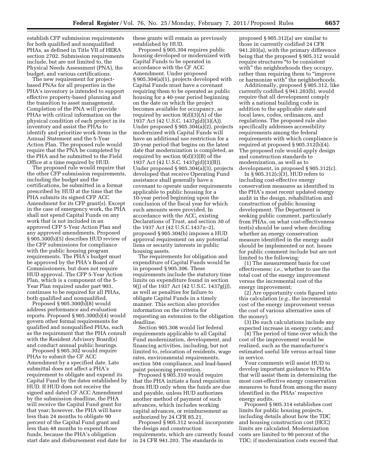establish CFP submission requirements for both qualified and nonqualified PHAs, as defined in Title VII of HERA section 2702. Submission requirements include, but are not limited to, the Physical Needs Assessment (PNA), the budget, and various certifications.

The new requirement for projectbased PNAs for all properties in the PHA's inventory is intended to support effective property-based planning and the transition to asset management. Completion of the PNA will provide PHAs with critical information on the physical condition of each project in its inventory and assist the PHAs to identify and prioritize work items in the Annual Statement and the 5-Year Action Plan. The proposed rule would require that the PNA be completed by the PHA and be submitted to the Field Office at a time required by HUD.

The proposed rule would require that the other CFP submission requirements, including the budget and the certifications, be submitted in a format prescribed by HUD at the time that the PHA submits its signed CFP ACC Amendment for its CFP grant(s). Except in the case of emergency work, the PHA shall not spend Capital Funds on any work that is not included in an approved CFP 5-Year Action Plan and any approved amendments. Proposed § 905.300(b)(5) describes HUD review of the CFP submissions for compliance with the public housing program requirements. The PHA's budget must be approved by the PHA's Board of Commissioners, but does not require HUD approval. The CFP 5-Year Action Plan, which is a component of the 5- Year Plan required under part 903, continues to be required for all PHAs, both qualified and nonqualified.

Proposed § 905.300(b)(8) would address performance and evaluation reports. Proposed § 905.300(b)(4) would govern other formal requirements for qualified and nonqualified PHAs, such as the requirement that the PHA consult with the Resident Advisory Board(s) and conduct annual public hearings.

Proposed § 905.302 would require PHAs to submit the CF ACC Amendment by a specified date. Late submittal does not affect a PHA's requirement to obligate and expend its Capital Fund by the dates established by HUD. If HUD does not receive the signed and dated CF ACC Amendment by the submission deadline, the PHA will receive the Capital Fund grant for that year; however, the PHA will have less than 24 months to obligate 90 percent of the Capital Fund grant and less than 48 months to expend those funds, because the PHA's obligation start date and disbursement end date for

these grants will remain as previously established by HUD.

Proposed § 905.304 requires public housing developed or modernized with Capital Funds to be operated in accordance with the CF ACC Amendment. Under proposed § 905.304(a)(1), projects developed with Capital Funds must have a covenant requiring them to be operated as public housing for a 40-year period beginning on the date on which the project becomes available for occupancy, as required by section 9(d)(3)(A) of the 1937 Act (42 U.S.C. 1437g(d)(3)(A)). Under proposed § 905.304(a)(2), projects modernized with Capital Funds will have an additional use restriction for a 20-year period that begins on the latest date that modernization is completed, as required by section 9(d)(3)(B) of the 1937 Act (42 U.S.C. 1437g(d)(3)(B)). Under proposed § 905.304(a)(3), projects developed that receive Operating Fund assistance shall generally have a covenant to operate under requirements applicable to public housing for a 10-year period beginning upon the conclusion of the fiscal year for which such amounts were provided. In accordance with the ACC, existing Declarations of Trust, and section 30 of the 1937 Act (42 U.S.C.1437z–2), proposed § 905.304(b) imposes a HUD approval requirement on any potential liens or security interests in public housing assets.

The requirements for obligation and expenditure of Capital Funds would be in proposed § 905.306. These requirements include the statutory time limits on expenditure found in section 9(j) of the 1937 Act (42 U.S.C. 1437g(j)), as well as penalties for failure to obligate Capital Funds in a timely manner. This section also provides information on the criteria for requesting an extension to the obligation deadline.

Section 905.308 would list federal requirements applicable to all Capital Fund modernization, development, and financing activities, including, but not limited to, relocation of residents, wage rates, environmental requirements, section 504 compliance, and lead-based paint poisoning prevention.

Proposed § 905.310 would require that the PHA initiate a fund requisition from HUD only when the funds are due and payable, unless HUD authorizes another method of payment of such advances, which includes working capital advances, or reimbursement as authorized by 24 CFR 85.21.

Proposed § 905.312 would incorporate the design and construction requirements, which are currently found in 24 CFR 941.203. The standards in

proposed § 905.312(a) are similar to those in currently codified 24 CFR 941.203(a), with the primary difference being that the proposed § 905.312 would require structures ''to be consistent with" the neighborhoods they occupy, rather than requiring them to "improve" or harmonize with'' the neighborhoods.

Additionally, proposed § 905.312, like currently codified § 941.203(b), would require that all development comply with a national building code in addition to the applicable state and local laws, codes, ordinances, and regulations. The proposed rule also specifically addresses accessibility requirements among the federal requirements with which compliance is required at proposed § 905.312(b)(4). The proposed rule would apply design and construction standards to modernization, as well as to development, in proposed § 905.312(c).

In § 905.312(c)(3), HUD refers to including cost-effective energy conservation measures as identified in the PHA's most recent updated energy audit in the design, rehabilitation and construction of public housing development. The Department is seeking public comment, particularly from PHAs, on what cost-effectiveness test(s) should be used when deciding whether an energy conservation measure identified in the energy audit should be implemented or not. Issues for public comment include but are not limited to the following:

(1) The measurement basis for cost effectiveness; *i.e.,* whether to use the total cost of the energy improvement versus the incremental cost of the energy improvement;

(2) Are opportunity costs figured into this calculation (*e.g.,* the incremental cost of the energy improvement versus the cost of various alternative uses of the money);

(3) Do such calculations include any expected increase in energy costs; and

(4) The period of time over which the cost of the improvement would be realized, such as the manufacturer's estimated useful life versus actual time in service.

Your comments will assist HUD to develop important guidance to PHAs that will assist them in determining the most cost-effective energy conservation measures to fund from among the many identified in the PHAs' respective energy audits.

Proposed § 905.314 establishes cost limits for public housing projects, including details about how the TDC and housing construction cost (HCC) limits are calculated. Modernization costs are limited to 90 percent of the TDC; if modernization costs exceed that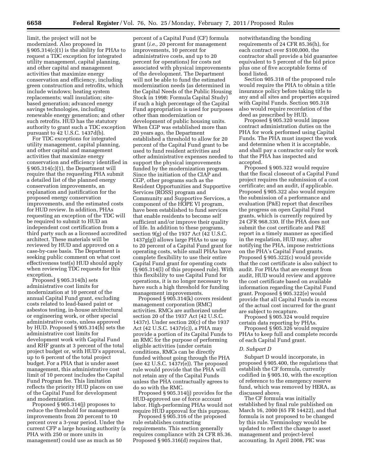limit, the project will not be modernized. Also proposed in § 905.314(c)(1) is the ability for PHAs to request a TDC exception for integrated utility management, capital planning, and other capital and management activities that maximize energy conservation and efficiency, including green construction and retrofits, which include windows; heating system replacements; wall insulation; sitebased generation; advanced energy savings technologies, including renewable energy generation; and other such retrofits. HUD has the statutory authority to grant such a TDC exception pursuant to 42 U.S.C. 1437d(b).

For TDC exceptions for integrated utility management, capital planning, and other capital and management activities that maximize energy conservation and efficiency identified in § 905.314(c)(1), the Department will require that the requesting PHA submit a detailed list of the planned energy conservation improvements, an explanation and justification for the proposed energy conservation improvements, and the estimated costs for HUD review. In addition, PHAs requesting an exception of the TDC will be required to submit to HUD an independent cost certification from a third party such as a licensed accredited architect. These materials will be reviewed by HUD and approved on a case-by-case basis. The Department is seeking public comment on what cost effectiveness test(s) HUD should apply when reviewing TDC requests for this exception.

Proposed § 905.314(h) sets administrative cost limits for modernization at 10 percent of the annual Capital Fund grant, excluding costs related to lead-based paint or asbestos testing, in-house architectural or engineering work, or other special administrative costs, unless approved by HUD. Proposed § 905.314(h) sets the administrative cost limits for development work with Capital Fund and RHF grants at 3 percent of the total project budget or, with HUD's approval, up to 6 percent of the total project budget. For a PHA that is under asset management, this administrative cost limit of 10 percent includes the Capital Fund Program fee. This limitation reflects the priority HUD places on use of the Capital Fund for development and modernization.

Proposed § 905.314(j) proposes to reduce the threshold for management improvements from 20 percent to 10 percent over a 3-year period. Under the current CFP a large housing authority (a PHA with 250 or more units in management) could use as much as 50

percent of a Capital Fund (CF) formula grant (*i.e.,* 20 percent for management improvements, 10 percent for administrative costs, and up to 20 percent for operations) for costs not associated with physical improvements of the development. The Department will not be able to fund the estimated modernization needs (as determined in the Capital Needs of the Public Housing Stock in 1998: Formula Capital Study) if such a high percentage of the Capital Fund appropriation is used for purposes other than modernization or development of public housing units. When CGP was established more than 20 years ago, the Department established a threshold to allow for 20 percent of the Capital Fund grant to be used to fund resident activities and other administrative expenses needed to support the physical improvements funded by the modernization program. Since the initiation of the CIAP and CGP, other programs such as the Resident Opportunities and Supportive Services (ROSS) program and Community and Supportive Services, a component of the HOPE VI program, have been established to fund services that enable residents to become self sufficient and/or improve their quality of life. In addition to these programs, section 9(g) of the 1937 Act (42 U.S.C. 1437g(g)) allows large PHAs to use up to 20 percent of a Capital Fund grant for operating costs, while small PHAs have complete flexibility to use their entire Capital Fund grant for operating costs (§ 905.314(l) of this proposed rule). With this flexibility to use Capital Fund for operations, it is no longer necessary to have such a high threshold for funding management improvements.

Proposed § 905.314(k) covers resident management corporation (RMC) activities. RMCs are authorized under section 20 of the 1937 Act (42 U.S.C. 1437r). Under section 20(c) of the 1937 Act (42 U.S.C. 1437r(c)), a PHA may provide a portion of its Capital Funds to an RMC for the purpose of performing eligible activities (under certain conditions, RMCs can be directly funded without going through the PHA (see 42 U.S.C. 1437r(e)). The proposed rule would provide that the PHA will not retain any of the Capital Funds unless the PHA contractually agrees to do so with the RMC.

Proposed § 905.314(j) provides for the HUD-approved use of force account labor. High-performing PHAs would not require HUD approval for this purpose.

Proposed § 905.316 of the proposed rule establishes contracting requirements. This section generally requires compliance with 24 CFR 85.36. Proposed § 905.316(d) requires that,

notwithstanding the bonding requirements of 24 CFR 85.36(h), for each contract over \$100,000, the contractor shall provide a bid guarantee equivalent to 5 percent of the bid price plus one of five acceptable forms of bond listed.

Section 905.318 of the proposed rule would require the PHA to obtain a title insurance policy before taking title to any and all sites and properties acquired with Capital Funds. Section 905.318 also would require recordation of the deed as prescribed by HUD.

Proposed § 905.320 would impose contract administration duties on the PHA for work performed using Capital Funds. The PHA must inspect the work and determine when it is acceptable, and shall pay a contractor only for work that the PHA has inspected and accepted.

Proposed § 905.322 would require that the fiscal closeout of a Capital Fund project requires the submission of a cost certificate; and an audit, if applicable. Proposed § 905.322 also would require the submission of a performance and evaluation (P&E) report that describes the progress on open Capital Fund grants, which is currently required by 24 CFR 968.330. If the PHA does not submit the cost certificate and P&E report in a timely manner as specified in the regulation, HUD may, after notifying the PHA, impose restrictions on the PHA's Capital Fund grants. Proposed § 905.322(c) would provide that the cost certificate is also subject to audit. For PHAs that are exempt from audit, HUD would review and approve the cost certificate based on available information regarding the Capital Fund grant. Proposed § 905.322(e) would provide that all Capital Funds in excess of the actual cost incurred for the grant are subject to recapture.

Proposed § 905.324 would require certain data reporting by PHAs.

Proposed § 905.326 would require PHAs to keep full and complete records of each Capital Fund grant.

#### *D. Subpart D*

Subpart D would incorporate, in proposed § 905.400, the regulations that establish the CF formula, currently codified in § 905.10, with the exception of reference to the emergency reserve fund, which was removed by HERA, as discussed above.

The CF formula was initially established by final rule published on March 16, 2000 (65 FR 14422), and that formula is not proposed to be changed by this rule. Terminology would be updated to reflect the change to asset management and project-level accounting. In April 2008, PIC was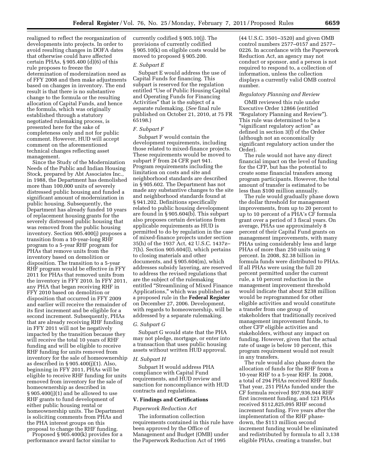realigned to reflect the reorganization of developments into projects. In order to avoid resulting changes in DOFA dates that otherwise could have affected certain PHAs, § 905.400 (d)(6) of this rule proposes to freeze the determination of modernization need as of FFY 2008 and then make adjustments based on changes in inventory. The end result is that there is no substantive change to the formula or the resulting allocation of Capital Funds, and hence the formula, which was originally established through a statutory negotiated rulemaking process, is presented here for the sake of completeness only and not for public comment. However, HUD will accept comment on the aforementioned technical changes reflecting asset management.

Since the Study of the Modernization Needs of the Public and Indian Housing Stock, prepared by Abt Associates Inc., in 1988, the Department has demolished more than 100,000 units of severely distressed public housing and funded a significant amount of modernization in public housing. Subsequently, the Department has already funded 10 years of replacement housing grants for the severely distressed public housing that was removed from the public housing inventory. Section 905.400(j) proposes a transition from a 10-year-long RHF program to a 5-year RHF program for PHAs that remove units from the inventory based on demolition or disposition. The transition to a 5-year RHF program would be effective in FFY 2011 for PHAs that removed units from the inventory in FFY 2010. In FFY 2011, any PHA that began receiving RHF in FFY 2010 based on demolition or disposition that occurred in FFY 2009 and earlier will receive the remainder of its first increment and be eligible for a second increment. Subsequently, PHAs that are already receiving RHF funding in FFY 2011 will not be negatively impacted by the transition because they will receive the total 10 years of RHF funding and will be eligible to receive RHF funding for units removed from inventory for the sale of homeownership as described in § 905.400(j)(1). Also, beginning in FFY 2011, PHAs will be eligible to receive RHF funding for units removed from inventory for the sale of homeownership as described in  $§ 905.400(i)(1)$  and be allowed to use RHF grants to fund development of either public housing rental or homeownership units. The Department is soliciting comments from PHAs and the PHA interest groups on this proposal to change the RHF funding.

Proposed § 905.400(k) provides for a performance award factor similar to

currently codified § 905.10(j). The provisions of currently codified § 905.10(k) on eligible costs would be moved to proposed § 905.200.

#### *E. Subpart E*

Subpart E would address the use of Capital Funds for financing. This subpart is reserved for the regulation entitled ''Use of Public Housing Capital and Operating Funds for Financing Activities'' that is the subject of a separate rulemaking. (*See* final rule published on October 21, 2010, at 75 FR 65198.)

#### *F. Subpart F*

Subpart F would contain the development requirements, including those related to mixed-finance projects. These requirements would be moved to subpart F from 24 CFR part 941. Program requirements including the limitation on costs and site and neighborhood standards are described in § 905.602. The Department has not made any substantive changes to the site and neighborhood standards found at § 941.202. Definitions specifically related to public housing development are found in § 905.604(b). This subpart also proposes certain deviations from applicable requirements as HUD is permitted to do by regulation in the case of mixed-finance projects under section 35(h) of the 1937 Act, 42 U.S.C. 1437z– 7(h). Section 905.604(l), which pertains to closing materials and other documents, and § 905.604(m), which addresses subsidy layering, are reserved to address the revised regulations that are the subject of the rulemaking entitled ''Streamlining of Mixed Finance Applications,'' which was published as a proposed rule in the **Federal Register**  on December 27, 2006. Development, with regards to homeownership, will be addressed by a separate rulemaking.

# *G. Subpart G*

Subpart G would state that the PHA may not pledge, mortgage, or enter into a transaction that uses public housing assets without written HUD approval.

#### *H. Subpart H*

Subpart H would address PHA compliance with Capital Fund requirements, and HUD review and sanction for noncompliance with HUD contracts and regulations.

#### **V. Findings and Certifications**

#### *Paperwork Reduction Act*

The information collection requirements contained in this rule have been approved by the Office of Management and Budget (OMB) under the Paperwork Reduction Act of 1995

(44 U.S.C. 3501–3520) and given OMB control numbers 2577–0157 and 2577– 0226. In accordance with the Paperwork Reduction Act, an agency may not conduct or sponsor, and a person is not required to respond to, a collection of information, unless the collection displays a currently valid OMB control number.

#### *Regulatory Planning and Review*

OMB reviewed this rule under Executive Order 12866 (entitled ''Regulatory Planning and Review''). This rule was determined to be a ''significant regulatory action'' as defined in section 3(f) of the Order (although not an economically significant regulatory action under the Order).

The rule would not have any direct financial impact on the level of funding for the CFP, but has the potential to create some financial transfers among program participants. However, the total amount of transfer is estimated to be less than \$100 million annually.

The rule would gradually phase down the dollar threshold for management improvements, from up to 20 percent to up to 10 percent of a PHA's CF formula grant over a period of 3 fiscal years. On average, PHAs use approximately 8 percent of their Capital Fund grants on management improvements, with many PHAs using considerably less and large PHAs of more than 250 units using 9 percent. In 2008, \$2.38 billion in formula funds were distributed to PHAs. If all PHAs were using the full 20 percent permitted under the current rule, a 10 percent reduction in the management improvement threshold would indicate that about \$238 million would be reprogrammed for other eligible activities and would constitute a transfer from one group of stakeholders that traditionally received management improvement funds, to other CFP eligible activities and stakeholders, without any impact on funding. However, given that the actual rate of usage is below 10 percent, this program requirement would not result in any transfers.

The rule would also phase down the allocation of funds for the RHF from a 10-year RHF to a 5-year RHF. In 2008, a total of 294 PHAs received RHF funds. That year, 251 PHAs funded under the CF formula received \$97,936,944 RHF first increment funding, and 123 PHAs received \$112,825,095 RHF second increment funding. Five years after the implementation of the RHF phasedown, the \$113 million second increment funding would be eliminated and redistributed by formula to all 3,138 eligible PHAs, creating a transfer, but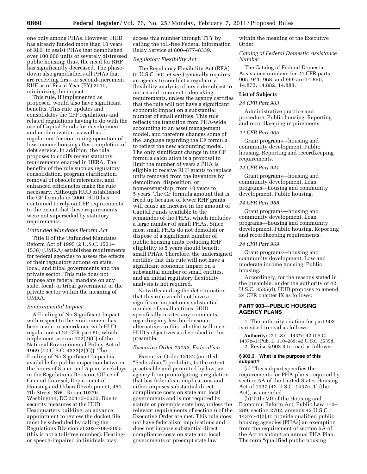one only among PHAs. However, HUD has already funded more than 10 years of RHF to assist PHAs that demolished over 100,000 units of severely distressed public housing; thus, the need for RHF has significantly decreased. The phasedown also grandfathers all PHAs that are receiving first- or second-increment RHF as of Fiscal Year (FY) 2010, minimizing the impact.

This rule, if implemented as proposed, would also have significant benefits. This rule updates and consolidates the CFP regulations and related regulations having to do with the use of Capital Funds for development and modernization, as well as regulations for continuing operation of low-income housing after completion of debt service. In addition, the rule proposes to codify recent statutory requirements enacted in HERA. The benefits of the rule such as regulatory consolidation, program clarification, removal of obsolete references, and enhanced efficiencies make the rule necessary. Although HUD established the CF formula in 2000, HUD has continued to rely on CFP requirements to the extent that these requirements were not superseded by statutory requirements.

#### *Unfunded Mandates Reform Act*

Title II of the Unfunded Mandates Reform Act of 1995 (2 U.S.C. 1531– 1538) (UMRA) establishes requirements for federal agencies to assess the effects of their regulatory actions on state, local, and tribal governments and the private sector. This rule does not impose any federal mandate on any state, local, or tribal government or the private sector within the meaning of UMRA.

#### *Environmental Impact*

A Finding of No Significant Impact with respect to the environment has been made in accordance with HUD regulations at 24 CFR part 50, which implement section 102(2)(C) of the National Environmental Policy Act of 1969 (42 U.S.C. 4332(2)(C)). The Finding of No Significant Impact is available for public inspection between the hours of 8 a.m. and 5 p.m. weekdays in the Regulations Division, Office of General Counsel, Department of Housing and Urban Development, 451 7th Street, SW., Room 10276, Washington, DC 20410–0500. Due to security measures at the HUD Headquarters building, an advance appointment to review the docket file must be scheduled by calling the Regulations Division at 202–708–3055 (this is not a toll-free number). Hearingor speech-impaired individuals may

access this number through TTY by calling the toll-free Federal Information Relay Service at 800–877–8339.

# *Regulatory Flexibility Act*

The Regulatory Flexibility Act (RFA) (5 U.S.C. 601 *et seq.*) generally requires an agency to conduct a regulatory flexibility analysis of any rule subject to notice and comment rulemaking requirements, unless the agency certifies that the rule will not have a significant economic impact on a substantial number of small entities. This rule reflects the transition from PHA-wide accounting to an asset management model, and therefore changes some of the language regarding the CF formula to reflect the new accounting model. The only significant change in the CF formula calculation is a proposal to limit the number of years a PHA is eligible to receive RHF grants to replace units removed from the inventory by demolition, disposition, or homeownership, from 10 years to 5 years. The CF formula amount that is freed up because of fewer RHF grants will cause an increase in the amount of Capital Funds available to the remainder of the PHAs, which includes a large number of small PHAs. Since most small PHAs do not demolish or dispose of a significant number of public housing units, reducing RHF eligibility to 5 years should benefit small PHAs. Therefore, the undersigned certifies that this rule will not have a significant economic impact on a substantial number of small entities, and an initial regulatory flexibility analysis is not required.

Notwithstanding the determination that this rule would not have a significant impact on a substantial number of small entities, HUD specifically invites any comments regarding any less burdensome alternatives to this rule that will meet HUD's objectives as described in this preamble.

# *Executive Order 13132, Federalism*

Executive Order 13132 (entitled "Federalism") prohibits, to the extent practicable and permitted by law, an agency from promulgating a regulation that has federalism implications and either imposes substantial direct compliance costs on state and local governments and is not required by statute or preempts state law, unless the relevant requirements of section 6 of the Executive Order are met. This rule does not have federalism implications and does not impose substantial direct compliance costs on state and local governments or preempt state law

within the meaning of the Executive Order.

# *Catalog of Federal Domestic Assistance Number*

The Catalog of Federal Domestic Assistance numbers for 24 CFR parts 905, 941, 968, and 969 are 14.850, 14.872, 14.882, 14.883.

# **List of Subjects**

# *24 CFR Part 903*

Administrative practice and procedure, Public housing, Reporting and recordkeeping requirements.

#### *24 CFR Part 905*

Grant programs—housing and community development, Public housing, Reporting and recordkeeping requirements.

# *24 CFR Part 941*

Grant programs—housing and community development, Loan programs—housing and community development, Public housing.

# *24 CFR Part 968*

Grant programs—housing and community development, Loan programs—housing and community development, Public housing, Reporting and recordkeeping requirements.

#### *24 CFR Part 969*

Grant programs—housing and community development, Low and moderate income housing, Public housing.

Accordingly, for the reasons stated in the preamble, under the authority of 42 U.S.C. 3535(d), HUD proposes to amend 24 CFR chapter IX as follows:

# **PART 903—PUBLIC HOUSING AGENCY PLANS**

1. The authority citation for part 903 is revised to read as follows:

**Authority:** 42 U.S.C. 1437c; 42 U.S.C. 1437c–1; Pub. L. 110–289; 42 U.S.C. 3535d. 2. Revise § 903.3 to read as follows:

#### **§ 903.3 What is the purpose of this subpart?**

(a) This subpart specifies the requirements for PHA plans, required by section 5A of the United States Housing Act of 1937 (42 U.S.C. 1437c–1) (the Act), as amended.

(b) Title VII of the Housing and Economic Reform Act, Public Law 110– 289, section 2702, amends 42 U.S.C. 1437c–1(b) to provide qualified public housing agencies (PHAs) an exemption from the requirement of section 5A of the Act to submit an annual PHA Plan. The term "qualified public housing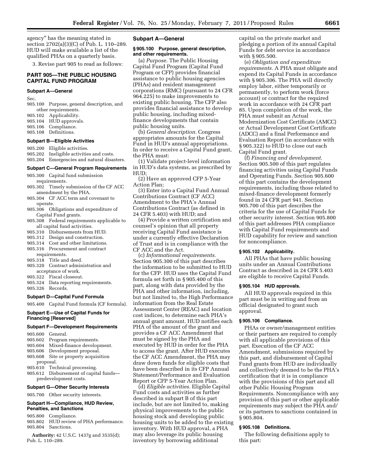agency'' has the meaning stated in section 2702(a)(3)(C) of Pub. L. 110–289. HUD will make available a list of the qualified PHAs on a quarterly basis.

3. Revise part 905 to read as follows:

# **PART 905—THE PUBLIC HOUSING CAPITAL FUND PROGRAM**

# **Subpart A—General**

Sec.

905.100 Purpose, general description, and other requirements.

- 905.102 Applicability.
- 905.104 HUD approvals.<br>905.106 Compliance.
- Compliance.
- 905.108 Definitions.

# **Subpart B—Eligible Activities**

- 905.200 Eligible activities.
- 905.202 Ineligible activities and costs. 905.204 Emergencies and natural disasters.

#### **Subpart C—General Program Requirements**

- 905.300 Capital fund submission requirements.
- 905.302 Timely submission of the CF ACC amendment by the PHA.
- 905.304 CF ACC term and covenant to operate.
- 905.306 Obligations and expenditure of Capital Fund grants.
- 905.308 Federal requirements applicable to all capital fund activities.
- 905.310 Disbursements from HUD.
- 905.312 Design and construction.
- 905.314 Cost and other limitations. 905.316 Procurement and contract
- requirements.
- 905.318 Title and deed. 905.320 Contract administration and
- acceptance of work.
- 905.322 Fiscal closeout.
- 905.324 Data reporting requirements. 905.326 Records.

# **Subpart D—Capital Fund Formula**

905.400 Capital Fund formula (CF formula).

# **Subpart E—Use of Capital Funds for Financing [Reserved]**

# **Subpart F—Development Requirements**

905.600 General. 905.602 Program requirements. 905.604 Mixed-finance development. 905.606 Development proposal. 905.608 Site or property acquisition proposal. 905.610 Technical processing. 905.612 Disbursement of capital funds predevelopment costs.

# **Subpart G—Other Security Interests**

905.700 Other security interests.

# **Subpart H—Compliance, HUD Review, Penalties, and Sanctions**

- 905.800 Compliance.
- 905.802 HUD review of PHA performance. 905.804 Sanctions.
- **Authority:** 42 U.S.C. 1437g and 3535(d); Pub. L. 110–289.

#### **Subpart A—General**

#### **§ 905.100 Purpose, general description, and other requirements.**

(a) *Purpose.* The Public Housing Capital Fund Program (Capital Fund Program or CFP) provides financial assistance to public housing agencies (PHAs) and resident management corporations (RMC) (pursuant to 24 CFR 964.225) to make improvements to existing public housing. The CFP also provides financial assistance to develop public housing, including mixedfinance developments that contain public housing units.

(b) *General description.* Congress appropriates amounts for the Capital Fund in HUD's annual appropriations. In order to receive a Capital Fund grant, the PHA must:

(1) Validate project-level information in HUD's data systems, as prescribed by HUD;

(2) Have an approved CFP 5-Year Action Plan;

(3) Enter into a Capital Fund Annual Contributions Contract (CF ACC) Amendment to the PHA's Annual Contributions Contract (as defined in 24 CFR 5.403) with HUD; and

(4) Provide a written certification and counsel's opinion that all property receiving Capital Fund assistance is under a currently effective Declaration of Trust and is in compliance with the CF ACC and the Act.

(c) *Informational requirements.*  Section 905.300 of this part describes the information to be submitted to HUD for the CFP. HUD uses the Capital Fund formula set forth in § 905.400 of this part, along with data provided by the PHA and other information, including, but not limited to, the High Performance information from the Real Estate Assessment Center (REAC) and location cost indices, to determine each PHA's annual grant amount. HUD notifies each PHA of the amount of the grant and provides a CF ACC Amendment that must be signed by the PHA and executed by HUD in order for the PHA to access the grant. After HUD executes the CF ACC Amendment, the PHA may draw down funds for eligible costs that have been described in its CFP Annual Statement/Performance and Evaluation Report or CFP 5-Year Action Plan.

(d) *Eligible activities.* Eligible Capital Fund costs and activities as further described in subpart B of this part include, but are not limited to, making physical improvements to the public housing stock and developing public housing units to be added to the existing inventory. With HUD approval, a PHA may also leverage its public housing inventory by borrowing additional

capital on the private market and pledging a portion of its annual Capital Funds for debt service in accordance with § 905.500.

(e) *Obligation and expenditure requirements.* A PHA must obligate and expend its Capital Funds in accordance with § 905.306. The PHA will directly employ labor, either temporarily or permanently, to perform work (force account) or contract for the required work in accordance with 24 CFR part 85. Upon completion of the work, the PHA must submit an Actual Modernization Cost Certificate (AMCC) or Actual Development Cost Certificate (ADCC) and a final Performance and Evaluation Report (in accordance with § 905.322) to HUD to close out each Capital Fund grant.

(f) *Financing and development.*  Section 905.500 of this part regulates financing activities using Capital Funds and Operating Funds. Section 905.600 of this part contains the development requirements, including those related to mixed-finance development formerly found in 24 CFR part 941. Section 905.700 of this part describes the criteria for the use of Capital Funds for other security interest. Section 905.800 of this part addresses PHA compliance with Capital Fund requirements and HUD capability for review and sanction for noncompliance.

# **§ 905.102 Applicability.**

All PHAs that have public housing units under an Annual Contributions Contract as described in 24 CFR 5.403 are eligible to receive Capital Funds.

#### **§ 905.104 HUD approvals.**

All HUD approvals required in this part must be in writing and from an official designated to grant such approval.

# **§ 905.106 Compliance.**

PHAs or owner/management entities or their partners are required to comply with all applicable provisions of this part. Execution of the CF ACC Amendment, submissions required by this part, and disbursement of Capital Fund grants from HUD are individually and collectively deemed to be the PHA's certification that it is in compliance with the provisions of this part and all other Public Housing Program Requirements. Noncompliance with any provision of this part or other applicable requirements may subject the PHA and/ or its partners to sanctions contained in § 905.804.

#### **§ 905.108 Definitions.**

The following definitions apply to this part: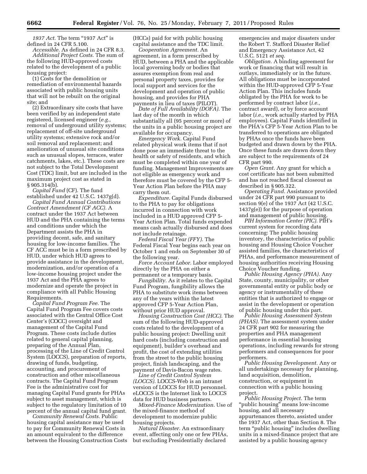1937 Act. The term "1937 Act" is defined in 24 CFR 5.100.

*Accessible.* As defined in 24 CFR 8.3. *Additional Project Costs.* The sum of the following HUD-approved costs related to the development of a public housing project:

(1) Costs for the demolition or remediation of environmental hazards associated with public housing units that will not be rebuilt on the original site; and

(2) Extraordinary site costs that have been verified by an independent state registered, licensed engineer (*e.g.,*  removal of underground utility systems; replacement of off-site underground utility systems; extensive rock and/or soil removal and replacement; and amelioration of unusual site conditions such as unusual slopes, terraces, water catchments, lakes, etc.). These costs are not subject to the Total Development Cost (TDC) limit, but are included in the maximum project cost as stated in § 905.314(b).

*Capital Fund* (CF). The fund established under 42 U.S.C. 1437g(d).

*Capital Fund Annual Contributions Contract Amendment (CF ACC).* A contract under the 1937 Act between HUD and the PHA containing the terms and conditions under which the Department assists the PHA in providing decent, safe, and sanitary housing for low-income families. The CF ACC must be in a form prescribed by HUD, under which HUD agrees to provide assistance in the development, modernization, and/or operation of a low-income housing project under the 1937 Act and the PHA agrees to modernize and operate the project in compliance with all Public Housing Requirements.

*Capital Fund Program Fee.* The Capital Fund Program Fee covers costs associated with the Central Office Cost Center's (COCC) oversight and management of the Capital Fund Program. These costs include duties related to general capital planning, preparing of the Annual Plan, processing of the Line of Credit Control System (LOCCS), preparation of reports, drawing of funds, budgeting, accounting, and procurement of construction and other miscellaneous contracts. The Capital Fund Program Fee is the administrative cost for managing Capital Fund grants for PHAs subject to asset management, which is subject to the regulatory limitation of 10 percent of the annual capital fund grant.

*Community Renewal Costs.* Public housing capital assistance may be used to pay for Community Renewal Costs in an amount equivalent to the difference between the Housing Construction Costs (HCCs) paid for with public housing capital assistance and the TDC limit.

*Cooperation Agreement.* An agreement, in a form prescribed by HUD, between a PHA and the applicable local governing body or bodies that assures exemption from real and personal property taxes, provides for local support and services for the development and operation of public housing, and provides for PHA payments in lieu of taxes (PILOT).

*Date of Full Availability (DOFA).* The last day of the month in which substantially all (95 percent or more) of the units in a public housing project are available for occupancy.

*Emergency Work.* Capital Fund related physical work items that if not done pose an immediate threat to the health or safety of residents, and which must be completed within one year of funding. Management Improvements are not eligible as emergency work and therefore must be covered by the CFP 5- Year Action Plan before the PHA may carry them out.

*Expenditure.* Capital Funds disbursed to the PHA to pay for obligations incurred in connection with work included in a HUD approved CFP 5- Year Action Plan. Total funds expended means cash actually disbursed and does not include retainage.

*Federal Fiscal Year (FFY).* The Federal Fiscal Year begins each year on October 1 and ends on September 30 of the following year.

*Force Account Labor.* Labor employed directly by the PHA on either a permanent or a temporary basis.

*Fungibility.* As it relates to the Capital Fund Program, fungibility allows the PHA to substitute work items between any of the years within the latest approved CFP 5-Year Action Plan, without prior HUD approval.

*Housing Construction Cost (HCC).* The sum of the following HUD-approved costs related to the development of a public housing project: Dwelling unit hard costs (including construction and equipment), builder's overhead and profit, the cost of extending utilities from the street to the public housing project, finish landscaping, and the payment of Davis-Bacon wage rates.

*Line of Credit Control System (LOCCS).* LOCCS-Web is an intranet version of LOCCS for HUD personnel. eLOCCS is the Internet link to LOCCS data for HUD business partners.

*Mixed-Finance Modernization.* Use of the mixed-finance method of development to modernize public housing projects.

*Natural Disaster.* An extraordinary event, affecting only one or few PHAs, but excluding Presidentially declared

emergencies and major disasters under the Robert T. Stafford Disaster Relief and Emergency Assistance Act, 42 U.S.C. 5121 *et seq.* 

*Obligation.* A binding agreement for work or financing that will result in outlays, immediately or in the future. All obligations must be incorporated within the HUD-approved CFP 5-Year Action Plan. This includes funds obligated by the PHA for work to be performed by contract labor (*i.e.,*  contract award), or by force account labor (*i.e.,* work actually started by PHA employees). Capital Funds identified in the PHA's CFP 5-Year Action Plan to be transferred to operations are obligated by PHAs once the funds have been budgeted and drawn down by the PHA. Once these funds are drawn down they are subject to the requirements of 24 CFR part 990.

*Open Grant.* Any grant for which a cost certificate has not been submitted and has not reached fiscal closeout as described in § 905.322.

*Operating Fund.* Assistance provided under 24 CFR part 990 pursuant to section 9(e) of the 1937 Act (42 U.S.C. 1437g(e)) for the purpose of operation and management of public housing.

*PIH Information Center (PIC).* PIH's current system for recording data concerning: The public housing inventory, the characteristics of public housing and Housing Choice Voucher assisted families, the characteristics of PHAs, and performance measurement of housing authorities receiving Housing Choice Voucher funding.

*Public Housing Agency (PHA).* Any State, county, municipality, or other governmental entity or public body or agency or instrumentality of these entities that is authorized to engage or assist in the development or operation of public housing under this part.

*Public Housing Assessment System (PHAS).* The assessment system under 24 CFR part 902 for measuring the properties and PHA management performance in essential housing operations, including rewards for strong performers and consequences for poor performers.

*Public Housing Development.* Any or all undertakings necessary for planning, land acquisition, demolition, construction, or equipment in connection with a public housing project.

*Public Housing Project.* The term ''public housing'' means low-income housing, and all necessary appurtenances thereto, assisted under the 1937 Act, other than Section 8. The term "public housing" includes dwelling units in a mixed-finance project that are assisted by a public housing agency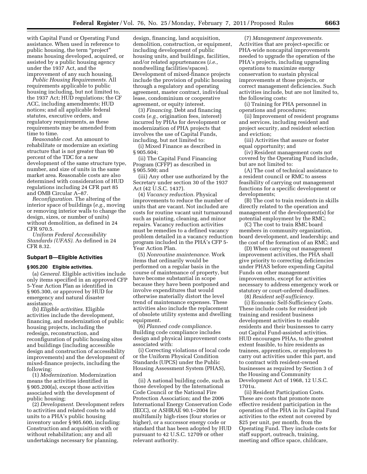with Capital Fund or Operating Fund assistance. When used in reference to public housing, the term ''project'' means housing developed, acquired, or assisted by a public housing agency under the 1937 Act, and the improvement of any such housing.

*Public Housing Requirements.* All requirements applicable to public housing including, but not limited to, the 1937 Act; HUD regulations; the CF ACC, including amendments; HUD notices; and all applicable federal statutes, executive orders, and regulatory requirements, as these requirements may be amended from time to time.

*Reasonable cost.* An amount to rehabilitate or modernize an existing structure that is not greater than 90 percent of the TDC for a new development of the same structure type, number, and size of units in the same market area. Reasonable costs are also determined with consideration of HUD regulations including 24 CFR part 85 and OMB Circular A–87.

*Reconfiguration.* The altering of the interior space of buildings (*e.g.,* moving or removing interior walls to change the design, sizes, or number of units) without demolition, as defined in 24 CFR 970.5.

*Uniform Federal Accessibility Standards (UFAS).* As defined in 24 CFR 8.32.

# **Subpart B—Eligible Activities**

# **§ 905.200 Eligible activities.**

(a) *General.* Eligible activities include only items specified in an approved CFP 5-Year Action Plan as identified in § 905.300, or approved by HUD for emergency and natural disaster assistance.

(b) *Eligible activities.* Eligible activities include the development, financing, and modernization of public housing projects, including the redesign, reconstruction, and reconfiguration of public housing sites and buildings (including accessible design and construction of accessibility improvements) and the development of mixed-finance projects, including the following:

(1) *Modernization.* Modernization means the activities identified in § 905.200(a), except those activities associated with the development of public housing;

(2) *Development.* Development refers to activities and related costs to add units to a PHA's public housing inventory under § 905.600, including: Construction and acquisition with or without rehabilitation; any and all undertakings necessary for planning,

design, financing, land acquisition, demolition, construction, or equipment, including development of public housing units, and buildings, facilities, and/or related appurtenances (*i.e.,*  nondwelling facilities/spaces). Development of mixed-finance projects include the provision of public housing through a regulatory and operating agreement, master contract, individual lease, condominium or cooperative agreement, or equity interest.

(3) *Financing.* Debt and financing costs (*e.g.,* origination fees, interest) incurred by PHAs for development or modernization of PHA projects that involves the use of Capital Funds, including, but not limited to:

(i) Mixed Finance as described in § 905.604;

(ii) The Capital Fund Financing Program (CFFP) as described in § 905.500; and

(iii) Any other use authorized by the Secretary under section 30 of the 1937 Act (42 U.S.C. 1437).

(4) *Vacancy reduction.* Physical improvements to reduce the number of units that are vacant. Not included are costs for routine vacant unit turnaround such as painting, cleaning, and minor repairs. Vacancy reduction activities must be remedies to a defined vacancy problem detailed in a vacancy reduction program included in the PHA's CFP 5- Year Action Plan.

(5) *Nonroutine maintenance.* Work items that ordinarily would be performed on a regular basis in the course of maintenance of property, but have become substantial in scope because they have been postponed and involve expenditures that would otherwise materially distort the level trend of maintenance expenses. These activities also include the replacement of obsolete utility systems and dwelling equipment.

(6) *Planned code compliance.*  Building code compliance includes design and physical improvement costs associated with:

(i) Correcting violations of local code or the Uniform Physical Condition Standards (UPCS) under the Public Housing Assessment System (PHAS), and

(ii) A national building code, such as those developed by the International Code Council or the National Fire Protection Association; and the 2006 International Energy Conservation Code (IECC), or ASHRAE 90.1–2004 for multifamily high-rises (four stories or higher), or a successor energy code or standard that has been adopted by HUD pursuant to 42 U.S.C. 12709 or other relevant authority.

(7) *Management improvements.*  Activities that are project-specific or PHA-wide noncapital improvements needed to upgrade the operation of the PHA's projects, including upgrading operations to maximize energy conservation to sustain physical improvements at those projects, or correct management deficiencies. Such activities include, but are not limited to, the following costs:

(i) Training for PHA personnel in operations and procedures;

(ii) Improvement of resident programs and services, including resident and project security, and resident selection and eviction;

(iii) Activities that assure or foster equal opportunity; and

(iv) Resident management costs not covered by the Operating Fund include, but are not limited to:

(A) The cost of technical assistance to a resident council or RMC to assess feasibility of carrying out management functions for a specific development or developments;

(B) The cost to train residents in skills directly related to the operation and management of the development(s) for potential employment by the RMC;

(C) The cost to train RMC board members in community organization, board development, and leadership; and the cost of the formation of an RMC; and

(D) When carrying out management improvement activities, the PHA shall give priority to correcting deficiencies under PHAS before expending Capital Funds on other management improvements, except for activities necessary to address emergency work or statutory or court-ordered deadlines.

(8) *Resident self-sufficiency.* 

(i) Economic Self-Sufficiency Costs. These include costs for resident job training and resident business development activities to enable residents and their businesses to carry out Capital Fund-assisted activities. HUD encourages PHAs, to the greatest extent feasible, to hire residents as trainees, apprentices, or employees to carry out activities under this part, and to contract with resident-owned businesses as required by Section 3 of the Housing and Community Development Act of 1968, 12 U.S.C. 1701u.

(ii) Resident Participation Costs. These are costs that promote more effective resident participation in the operation of the PHA in its Capital Fund activities to the extent not covered by \$25 per unit, per month, from the Operating Fund. They include costs for staff support, outreach, training, meeting and office space, childcare,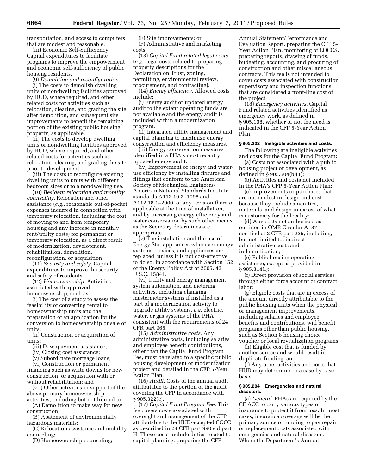transportation, and access to computers that are modest and reasonable.

(iii) Economic Self-Sufficiency. Capital expenditures to facilitate programs to improve the empowerment and economic self-sufficiency of public housing residents.

(9) *Demolition and reconfiguration.* 

(i) The costs to demolish dwelling units or nondwelling facilities approved by HUD, where required, and other related costs for activities such as relocation, clearing, and grading the site after demolition, and subsequent site improvements to benefit the remaining portion of the existing public housing property, as applicable.

(ii) The costs to develop dwelling units or nondwelling facilities approved by HUD, where required, and other related costs for activities such as relocation, clearing, and grading the site prior to development.

(iii) The costs to reconfigure existing dwelling units to units with different bedroom sizes or to a nondwelling use.

(10) *Resident relocation and mobility counseling.* Relocation and other assistance (*e.g.,* reasonable out-of-pocket expenses incurred in connection with temporary relocation, including the cost of moving to and from temporary housing and any increase in monthly rent/utility costs) for permanent or temporary relocation, as a direct result of modernization, development, rehabilitation, demolition, reconfiguration, or acquisition.

(11) *Security and safety.* Capital expenditures to improve the security and safety of residents.

(12) *Homeownership.* Activities associated with approved homeownership, such as:

(i) The cost of a study to assess the feasibility of converting rental to homeownership units and the preparation of an application for the conversion to homeownership or sale of units;

(ii) Construction or acquisition of units;

(iii) Downpayment assistance;

(iv) Closing cost assistance;

(v) Subordinate mortgage loans;

(vi) Construction or permanent financing such as write downs for new

construction, or acquisition with or without rehabilitation; and (vii) Other activities in support of the

above primary homeownership activities, including but not limited to:

(A) Demolition to make way for new construction;

(B) Abatement of environmentally hazardous materials;

(C) Relocation assistance and mobility counseling;

(D) Homeownership counseling;

(E) Site improvements; or (F) Administrative and marketing costs;

(13) *Capital Fund related legal costs*  (*e.g.,* legal costs related to preparing property descriptions for the Declaration on Trust, zoning, permitting, environmental review, procurement, and contracting).

(14) *Energy efficiency.* Allowed costs include:

(i) Energy audit or updated energy audit to the extent operating funds are not available and the energy audit is included within a modernization program.

(ii) Integrated utility management and capital planning to maximize energy conservation and efficiency measures.

(iii) Energy conservation measures identified in a PHA's most recently updated energy audit.

(iv) Improvement of energy and wateruse efficiency by installing fixtures and fittings that conform to the American Society of Mechanical Engineers/ American National Standards Institute standards A112.19.2–1998 and A112.18.1–2000, or any revision thereto, applicable at the time of installation, and by increasing energy efficiency and water conservation by such other means as the Secretary determines are appropriate.

(v) The installation and the use of Energy Star appliances whenever energy systems, devices, and appliances are replaced, unless it is not cost-effective to do so, in accordance with Section 152 of the Energy Policy Act of 2005, 42 U.S.C. 15841.

(vi) Utility and energy management system automation, and metering activities, including changing mastermeter systems if installed as a part of a modernization activity to upgrade utility systems, *e.g.* electric, water, or gas systems of the PHA consistent with the requirements of 24 CFR part 965.

(15) *Administrative costs.* Any administrative costs, including salaries and employee benefit contributions, other than the Capital Fund Program Fee, must be related to a specific public housing development or modernization project and detailed in the CFP 5-Year Action Plan.

(16) *Audit.* Costs of the annual audit attributable to the portion of the audit covering the CFP in accordance with § 905.322(c).

(17) *Capital Fund Program Fee.* This fee covers costs associated with oversight and management of the CFP attributable to the HUD-accepted COCC as described in 24 CFR part 990 subpart H. These costs include duties related to capital planning, preparing the CFP

Annual Statement/Performance and Evaluation Report, preparing the CFP 5- Year Action Plan, monitoring of LOCCS, preparing reports, drawing of funds, budgeting, accounting, and procuring of construction and other miscellaneous contracts. This fee is not intended to cover costs associated with construction supervisory and inspection functions that are considered a front-line cost of the project.

(18) *Emergency activities.* Capital Fund related activities identified as emergency work, as defined in § 905.108, whether or not the need is indicated in the CFP 5-Year Action Plan.

#### **§ 905.202 Ineligible activities and costs.**

The following are ineligible activities and costs for the Capital Fund Program:

(a) Costs not associated with a public housing project or development, as defined in § 905.604(b)(1);

(b) Activities and costs not included in the PHA's CFP 5-Year Action Plan;

(c) Improvements or purchases that are not modest in design and cost because they include amenities, materials, and design in excess of what is customary for the locality;

(d) Any costs not authorized as outlined in OMB Circular A–87, codified at 2 CFR part 225, including, but not limited to, indirect administrative costs and indemnification;

(e) Public housing operating assistance, except as provided in § 905.314(l);

(f) Direct provision of social services through either force account or contract labor;

(g) Eligible costs that are in excess of the amount directly attributable to the public housing units when the physical or management improvements, including salaries and employee benefits and contributions, will benefit programs other than public housing, such as Section 8 housing choice voucher or local revitalization programs;

(h) Eligible cost that is funded by another source and would result in duplicate funding; and

(i) Any other activities and costs that HUD may determine on a case-by-case basis.

#### **§ 905.204 Emergencies and natural disasters.**

(a) *General.* PHAs are required by the CF ACC to carry various types of insurance to protect it from loss. In most cases, insurance coverage will be the primary source of funding to pay repair or replacement costs associated with emergencies and natural disasters. Where the Department's Annual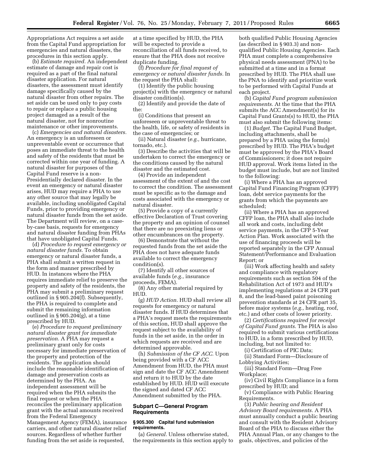Appropriations Act requires a set aside from the Capital Fund appropriation for emergencies and natural disasters, the procedures in this section apply.

(b) *Estimate required.* An independent estimate of damage and repair cost is required as a part of the final natural disaster application. For natural disasters, the assessment must identify damage specifically caused by the natural disaster from other repairs. The set aside can be used only to pay costs to repair or replace a public housing project damaged as a result of the natural disaster, not for nonroutine maintenance or other improvements.

(c) *Emergencies and natural disasters.*  An emergency is an unforeseen or unpreventable event or occurrence that poses an immediate threat to the health and safety of the residents that must be corrected within one year of funding. A natural disaster for purposes of the Capital Fund reserve is a non-Presidentially declared disaster. In the event an emergency or natural disaster arises, HUD may require a PHA to use any other source that may legally be available, including unobligated Capital Funds, prior to providing emergency or natural disaster funds from the set aside. The Department will review, on a caseby-case basis, requests for emergency and natural disaster funding from PHAs that have unobligated Capital Funds.

(d) *Procedure to request emergency or natural disaster funds.* To obtain emergency or natural disaster funds, a PHA shall submit a written request in the form and manner prescribed by HUD. In instances where the PHA requires immediate relief to preserve the property and safety of the residents, the PHA may submit a preliminary request outlined in § 905.204(f). Subsequently, the PHA is required to complete and submit the remaining information outlined in § 905.204(g), at a time prescribed by HUD.

(e) *Procedure to request preliminary natural disaster grant for immediate preservation.* A PHA may request a preliminary grant only for costs necessary for immediate preservation of the property and protection of the residents. The application should include the reasonable identification of damage and preservation costs as determined by the PHA. An independent assessment will be required when the PHA submits the final request or when the PHA reconciles the preliminary application grant with the actual amounts received from the Federal Emergency Management Agency (FEMA), insurance carriers, and other natural disaster relief sources. Regardless of whether further funding from the set aside is requested,

at a time specified by HUD, the PHA will be expected to provide a reconciliation of all funds received, to ensure that the PHA does not receive duplicate funding.

(f) *Procedure for final request of emergency or natural disaster funds.* In the request the PHA shall:

(1) Identify the public housing project(s) with the emergency or natural disaster condition(s).

(2) Identify and provide the date of the:

(i) Conditions that present an unforeseen or unpreventable threat to the health, life, or safety of residents in the case of emergencies; or

(ii) Natural disaster (*e.g.,* hurricane, tornado, etc.).

(3) Describe the activities that will be undertaken to correct the emergency or the conditions caused by the natural disaster and the estimated cost.

(4) Provide an independent assessment of the extent of and the cost to correct the condition. The assessment must be specific as to the damage and costs associated with the emergency or natural disaster.

(5) Provide a copy of a currently effective Declaration of Trust covering the property and an opinion of counsel that there are no preexisting liens or other encumbrances on the property.

(6) Demonstrate that without the requested funds from the set aside the PHA does not have adequate funds available to correct the emergency condition(s).

(7) Identify all other sources of available funds (*e.g.,* insurance proceeds, FEMA).

(8) Any other material required by HUD.

(g) *HUD Action.* HUD shall review all requests for emergency or natural disaster funds. If HUD determines that a PHA's request meets the requirements of this section, HUD shall approve the request subject to the availability of funds in the set aside, in the order in which requests are received and are determined approvable.

(h) *Submission of the CF ACC.* Upon being provided with a CF ACC Amendment from HUD, the PHA must sign and date the CF ACC Amendment and return it to HUD by the date established by HUD. HUD will execute the signed and dated CF ACC Amendment submitted by the PHA.

### **Subpart C—General Program Requirements**

### **§ 905.300 Capital fund submission requirements.**

(a) *General.* Unless otherwise stated, the requirements in this section apply to both qualified Public Housing Agencies (as described in § 903.3) and nonqualified Public Housing Agencies. Each PHA must complete a comprehensive physical needs assessment (PNA) to be submitted at a time and in a format prescribed by HUD. The PHA shall use the PNA to identify and prioritize work to be performed with Capital Funds at each project.

(b) *Capital Fund program submission requirements.* At the time that the PHA submits the ACC Amendment(s) for its Capital Fund Grants(s) to HUD, the PHA must also submit the following items:

(1) *Budget.* The Capital Fund Budget, including attachments, shall be prepared by a PHA using the form(s) prescribed by HUD. The PHA's budget must be approved by the PHA's Board of Commissioners; it does not require HUD approval. Work items listed in the budget must include, but are not limited to the following:

(i) Where a PHA has an approved Capital Fund Financing Program (CFFP) loan, debt service payments for the grants from which the payments are scheduled;

(ii) Where a PHA has an approved CFFP loan, the PHA shall also include all work and costs, including debt service payments, in the CFP 5-Year Action Plan. Work associated with the use of financing proceeds will be reported separately in the CFP Annual Statement/Performance and Evaluation Report; or

(iii) Work affecting health and safety and compliance with regulatory requirements such as section 504 of the Rehabilitation Act of 1973 and HUD's implementing regulations at 24 CFR part 8, and the lead-based paint poisoning prevention standards at 24 CFR part 35, before major systems (*e.g.,* heating, roof, etc.) and other costs of lower priority.

(2) *Certifications required for receipt of Capital Fund grants.* The PHA is also required to submit various certifications to HUD, in a form prescribed by HUD, including, but not limited to:

(i) Certification of PIC Data;

(ii) Standard Form—Disclosure of Lobbying Activities;

(iii) Standard Form—Drug Free Workplace;

(iv) Civil Rights Compliance in a form prescribed by HUD; and

(v) Compliance with Public Hearing Requirements.

(3) *Public hearing and Resident Advisory Board requirements.* A PHA must annually conduct a public hearing and consult with the Resident Advisory Board of the PHA to discuss either the PHA Annual Plan, or any changes to the goals, objectives, and policies of the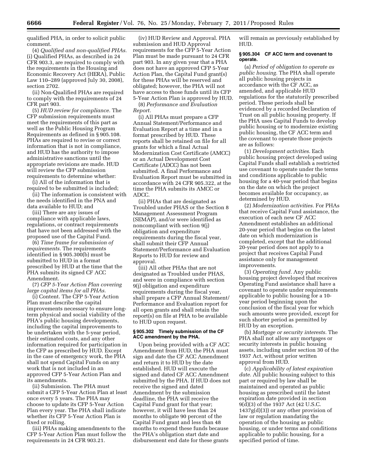qualified PHA, in order to solicit public comment.

(4) *Qualified and non-qualified PHAs.*  (i) Qualified PHAs, as described in 24 CFR 903.3, are required to comply with the requirements in the Housing and Economic Recovery Act (HERA), Public Law 110–289 (approved July 30, 2008), section 2702.

(ii) Non-Qualified PHAs are required to comply with the requirements of 24 CFR part 903.

(5) *HUD review for compliance.* The CFP submission requirements must meet the requirements of this part as well as the Public Housing Program Requirements as defined in § 905.108. PHAs are required to revise or correct information that is not in compliance, and HUD has the authority to impose administrative sanctions until the appropriate revisions are made. HUD will review the CFP submission requirements to determine whether:

(i) All of the information that is required to be submitted is included;

(ii) The information is consistent with the needs identified in the PNA and data available to HUD; and

(iii) There are any issues of compliance with applicable laws, regulations, or contract requirements that have not been addressed with the proposed use of the Capital Fund.

(6) *Time frame for submission of requirements.* The requirements identified in § 905.300(b) must be submitted to HUD in a format prescribed by HUD at the time that the PHA submits its signed CF ACC Amendment.

(7) *CFP 5-Year Action Plan covering large capital items for all PHAs.* 

(i) Content. The CFP 5-Year Action Plan must describe the capital improvements necessary to ensure longterm physical and social viability of the PHA's public housing developments, including the capital improvements to be undertaken with the 5-year period, their estimated costs, and any other information required for participation in the CFP as prescribed by HUD. Except in the case of emergency work, the PHA shall not spend Capital Funds on any work that is not included in an approved CFP 5-Year Action Plan and its amendments.

(ii) Submission. The PHA must submit a CFP 5-Year Action Plan at least once every 5 years. The PHA may choose to update its CFP 5-Year Action Plan every year. The PHA shall indicate whether its CFP 5-Year Action Plan is fixed or rolling.

(iii) PHAs making amendments to the CFP 5-Year Action Plan must follow the requirements in 24 CFR 903.21.

(iv) HUD Review and Approval. PHA submission and HUD Approval requirements for the CFP 5-Year Action Plan must be made pursuant to 24 CFR part 903. In any given year that a PHA does not have an approved CFP 5-Year Action Plan, the Capital Fund grant(s) for these PHAs will be reserved and obligated; however, the PHA will not have access to those funds until its CFP 5-Year Action Plan is approved by HUD.

(8) *Performance and Evaluation Report.* 

(i) All PHAs must prepare a CFP Annual Statement/Performance and Evaluation Report at a time and in a format prescribed by HUD. These reports shall be retained on file for all grants for which a final Actual Modernization Cost Certificate (AMCC) or an Actual Development Cost Certificate (ADCC) has not been submitted. A final Performance and Evaluation Report must be submitted in accordance with 24 CFR 905.322, at the time the PHA submits its AMCC or ADCC.

(ii) PHAs that are designated as Troubled under PHAS or the Section 8 Management Assessment Program (SEMAP), and/or were identified as noncompliant with section 9(j) obligation and expenditure requirements during the fiscal year, shall submit their CFP Annual Statement/Performance and Evaluation Reports to HUD for review and approval.

(iii) All other PHAs that are not designated as Troubled under PHAS, and were in compliance with section 9(j) obligation and expenditure requirements during the fiscal year, shall prepare a CFP Annual Statement/ Performance and Evaluation report for all open grants and shall retain the report(s) on file at PHA to be available to HUD upon request.

# **§ 905.302 Timely submission of the CF ACC amendment by the PHA.**

Upon being provided with a CF ACC Amendment from HUD, the PHA must sign and date the CF ACC Amendment and return it to HUD by the date established. HUD will execute the signed and dated CF ACC Amendment submitted by the PHA. If HUD does not receive the signed and dated Amendment by the submission deadline, the PHA will receive the Capital Fund grant for that year; however, it will have less than 24 months to obligate 90 percent of the Capital Fund grant and less than 48 months to expend these funds because the PHA's obligation start date and disbursement end date for these grants

will remain as previously established by HUD.

# **§ 905.304 CF ACC term and covenant to operate.**

(a) *Period of obligation to operate as public housing.* The PHA shall operate all public housing projects in accordance with the CF ACC, as amended, and applicable HUD regulations for the statutorily prescribed period. These periods shall be evidenced by a recorded Declaration of Trust on all public housing property. If the PHA uses Capital Funds to develop public housing or to modernize existing public housing, the CF ACC term and the covenant to operate those projects are as follows:

(1) *Development activities.* Each public housing project developed using Capital Funds shall establish a restricted use covenant to operate under the terms and conditions applicable to public housing for a 40-year period that begins on the date on which the project becomes available for occupancy, as determined by HUD.

(2) *Modernization activities.* For PHAs that receive Capital Fund assistance, the execution of each new CF ACC Amendment establishes an additional 20-year period that begins on the latest date on which modernization is completed, except that the additional 20-year period does not apply to a project that receives Capital Fund assistance only for management improvements.

(3) *Operating fund.* Any public housing project developed that receives Operating Fund assistance shall have a covenant to operate under requirements applicable to public housing for a 10 year period beginning upon the conclusion of the fiscal year for which such amounts were provided, except for such shorter period as permitted by HUD by an exception.

(b) *Mortgage or security interests.* The PHA shall not allow any mortgages or security interests in public housing assets, including under section 30 of the 1937 Act, without prior written approval from HUD.

(c) *Applicability of latest expiration date.* All public housing subject to this part or required by law shall be maintained and operated as public housing as prescribed until the latest expiration date provided in section 9(d)(3) of the 1937 Act (42 U.S.C.  $1437g(d)(3)$  or any other provision of law or regulation mandating the operation of the housing as public housing, or under terms and conditions applicable to public housing, for a specified period of time.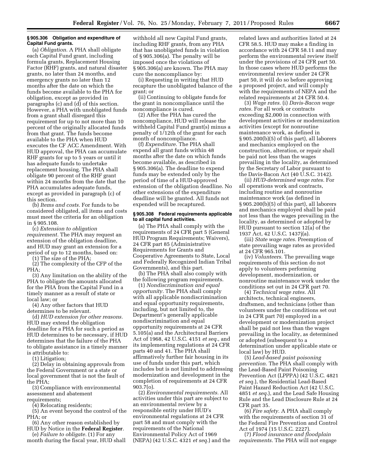#### **§ 905.306 Obligation and expenditure of Capital Fund grants.**

(a) *Obligation.* A PHA shall obligate each Capital Fund grant, including formula grants, Replacement Housing Factor (RHF) grants, and natural disaster grants, no later than 24 months, and emergency grants no later than 12 months after the date on which the funds become available to the PHA for obligation, except as provided in paragraphs (c) and (d) of this section. However, a PHA with unobligated funds from a grant shall disregard this requirement for up to not more than 10 percent of the originally allocated funds from that grant. The funds become available to the PHA when HUD executes the CF ACC Amendment. With HUD approval, the PHA can accumulate RHF grants for up to 5 years or until it has adequate funds to undertake replacement housing. The PHA shall obligate 90 percent of the RHF grant within 24 months from the date that the PHA accumulates adequate funds, except as provided in paragraph (c) of this section.

(b) *Items and costs.* For funds to be considered obligated, all items and costs must meet the criteria for an obligation in § 905.108.

(c) *Extension to obligation requirement.* The PHA may request an extension of the obligation deadline, and HUD may grant an extension for a period of up to 12 months, based on:

(1) The size of the PHA;

(2) The complexity of the CFP of the PHA;

(3) Any limitation on the ability of the PHA to obligate the amounts allocated for the PHA from the Capital Fund in a timely manner as a result of state or local law; or

(4) Any other factors that HUD determines to be relevant.

(d) *HUD extension for other reasons.*  HUD may extend the obligation deadline for a PHA for such a period as HUD determines to be necessary, if HUD determines that the failure of the PHA to obligate assistance in a timely manner is attributable to:

(1) Litigation;

(2) Delay in obtaining approvals from the Federal Government or a state or local government that is not the fault of the PHA;

(3) Compliance with environmental assessment and abatement requirements;

(4) Relocating residents;

(5) An event beyond the control of the PHA; or

(6) Any other reason established by

HUD by Notice in the **Federal Register**. (e) *Failure to obligate.* (1) For any

month during the fiscal year, HUD shall

withhold all new Capital Fund grants, including RHF grants, from any PHA that has unobligated funds in violation of § 905.306(a). The penalty will be imposed once the violations of § 905.306(a) are known. The PHA may cure the noncompliance by:

(i) Requesting in writing that HUD recapture the unobligated balance of the grant; or

(ii) Continuing to obligate funds for the grant in noncompliance until the noncompliance is cured.

(2) After the PHA has cured the noncompliance, HUD will release the withheld Capital Fund grant(s) minus a penalty of 1/12th of the grant for each month of noncompliance.

(f) *Expenditure.* The PHA shall expend all grant funds within 48 months after the date on which funds become available, as described in § 905.306(a). The deadline to expend funds may be extended only by the period of time of a HUD-approved extension of the obligation deadline. No other extensions of the expenditure deadline will be granted. All funds not expended will be recaptured.

# **§ 905.308 Federal requirements applicable to all capital fund activities.**

(a) The PHA shall comply with the requirements of 24 CFR part 5 (General HUD Program Requirements; Waivers), 24 CFR part 85 (Administrative Requirements for Grants and Cooperative Agreements to State, Local and Federally Recognized Indian Tribal Governments), and this part.

(b) The PHA shall also comply with the following program requirements.

(1) *Nondiscrimination and equal opportunity.* The PHA shall comply with all applicable nondiscrimination and equal opportunity requirements, including, but not limited to, the Department's generally applicable nondiscrimination and equal opportunity requirements at 24 CFR 5.105(a) and the Architectural Barriers Act of 1968, 42 U.S.C. 4151 *et seq.,* and its implementing regulations at 24 CFR parts 40 and 41. The PHA shall affirmatively further fair housing in its use of funds under this part, which includes but is not limited to addressing modernization and development in the completion of requirements at 24 CFR 903.7(o).

(2) *Environmental requirements.* All activities under this part are subject to an environmental review by a responsible entity under HUD's environmental regulations at 24 CFR part 58 and must comply with the requirements of the National Environmental Policy Act of 1969 (NEPA) (42 U.S.C. 4321 *et seq.*) and the related laws and authorities listed at 24 CFR 58.5. HUD may make a finding in accordance with 24 CFR 58.11 and may perform the environmental review itself under the provisions of 24 CFR part 50. In those cases where HUD performs the environmental review under 24 CFR part 50, it will do so before approving a proposed project, and will comply with the requirements of NEPA and the related requirements at 24 CFR 50.4.

(3) *Wage rates.* (i) *Davis-Bacon wage rates.* For all work or contracts exceeding \$2,000 in connection with development activities or modernization activities (except for nonroutine maintenance work, as defined in § 905.200(b)(5) of this part), all laborers and mechanics employed on the construction, alteration, or repair shall be paid not less than the wages prevailing in the locality, as determined by the Secretary of Labor pursuant to the Davis-Bacon Act (40 U.S.C. 3142).

(ii) *HUD-determined wage rates.* For all operations work and contracts, including routine and nonroutine maintenance work (as defined in § 905.200(b)(5) of this part), all laborers and mechanics employed shall be paid not less than the wages prevailing in the locality, as determined or adopted by HUD pursuant to section 12(a) of the 1937 Act, 42 U.S.C. 1437j(a).

(iii) *State wage rates.* Preemption of state prevailing wage rates as provided at 24 CFR 965.101.

(iv) *Volunteers.* The prevailing wage requirements of this section do not apply to volunteers performing development, modernization, or nonroutine maintenance work under the conditions set out in 24 CFR part 70.

(4) *Technical wage rates.* All architects, technical engineers, draftsmen, and technicians (other than volunteers under the conditions set out in 24 CFR part 70) employed in a development or modernization project shall be paid not less than the wages prevailing in the locality, as determined or adopted (subsequent to a determination under applicable state or local law) by HUD.

(5) *Lead-based paint poisoning prevention.* The PHA shall comply with the Lead-Based Paint Poisoning Prevention Act (LPPPA) (42 U.S.C. 4821 *et seq.*), the Residential Lead-Based Paint Hazard Reduction Act (42 U.S.C. 4851 *et seq.*), and the Lead Safe Housing Rule and the Lead Disclosure Rule at 24 CFR part 35.

(6) *Fire safety.* A PHA shall comply with the requirements of section 31 of the Federal Fire Prevention and Control Act of 1974 (15 U.S.C. 2227).

(7) *Flood insurance and floodplain requirements.* The PHA will not engage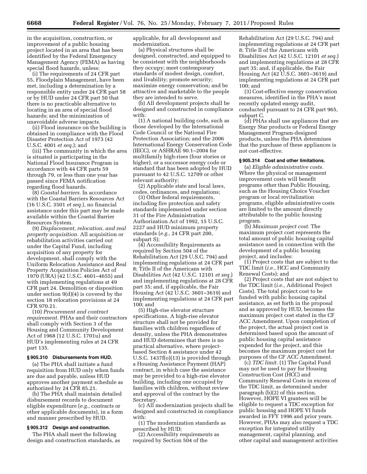in the acquisition, construction, or improvement of a public housing project located in an area that has been identified by the Federal Emergency Management Agency (FEMA) as having special flood hazards, unless:

(i) The requirements of 24 CFR part 55, Floodplain Management, have been met, including a determination by a responsible entity under 24 CFR part 58 or by HUD under 24 CFR part 50 that there is no practicable alternative to locating in an area of special flood hazards; and the minimization of unavoidable adverse impacts.

(ii) Flood insurance on the building is obtained in compliance with the Flood Disaster Protection Act of 1973 (42 U.S.C. 4001 *et seq.*); and

(iii) The community in which the area is situated is participating in the National Flood Insurance Program in accordance with 44 CFR parts 59 through 79, or less than one year has passed since FEMA notification regarding flood hazards.

(8) *Coastal barriers.* In accordance with the Coastal Barriers Resources Act (16 U.S.C. 3501 *et seq.*), no financial assistance under this part may be made available within the Coastal Barrier Resources System.

(9) *Displacement, relocation, and real property acquisition.* All acquisition or rehabilitation activities carried out under the Capital Fund, including acquisition of any property for development, shall comply with the Uniform Relocation Assistance and Real Property Acquisition Policies Act of 1970 (URA) (42 U.S.C. 4601–4655) and with implementing regulations at 49 CFR part 24. Demolition or disposition under section 9(d)(4) is covered by the section 18 relocation provisions at 24 CFR 970.21.

(10) *Procurement and contract requirement.* PHAs and their contractors shall comply with Section 3 of the Housing and Community Development Act of 1968 (12 U.S.C. 1701u) and HUD's implementing rules at 24 CFR part 135.

#### **§ 905.310 Disbursements from HUD.**

(a) The PHA shall initiate a fund requisition from HUD only when funds are due and payable, unless HUD approves another payment schedule as authorized by 24 CFR 85.21.

(b) The PHA shall maintain detailed disbursement records to document eligible expenditure (*e.g.,* contracts or other applicable documents), in a form and manner prescribed by HUD.

#### **§ 905.312 Design and construction.**

The PHA shall meet the following design and construction standards, as applicable, for all development and modernization.

(a) Physical structures shall be designed, constructed, and equipped to be consistent with the neighborhoods they occupy; meet contemporary standards of modest design, comfort, and livability; promote security; maximize energy conservation; and be attractive and marketable to the people they are intended to serve.

(b) All development projects shall be designed and constructed in compliance with:

(1) A national building code, such as those developed by the International Code Council or the National Fire Protection Association; and the 2006 International Energy Conservation Code (IECC), or ASHRAE 90.1–2004 for multifamily high-rises (four stories or higher), or a successor energy code or standard that has been adopted by HUD pursuant to 42 U.S.C. 12709 or other relevant authority;

(2) Applicable state and local laws, codes, ordinances, and regulations;

(3) Other federal requirements, including fire protection and safety standards implemented under section 31 of the Fire Administration Authorization Act of 1992, 15 U.S.C. 2227 and HUD minimum property standards (*e.g.,* 24 CFR part 200, subpart S);

(4) Accessibility Requirements as required by Section 504 of the Rehabilitation Act (29 U.S.C. 794) and implementing regulations at 24 CFR part 8; Title II of the Americans with Disabilities Act (42 U.S.C. 12101 *et seq.*) and implementing regulations at 28 CFR part 35; and, if applicable, the Fair Housing Act (42 U.S.C. 3601–3619) and implementing regulations at 24 CFR part 100; and

(5) High-rise elevator structure specifications. A high-rise elevator structure shall not be provided for families with children regardless of density, unless the PHA demonstrates and HUD determines that there is no practical alternative, where projectbased Section 8 assistance under 42 U.S.C. 1437f(o)(13) is provided through a Housing Assistance Payment (HAP) contract, in which case the assistance may be provided to a high-rise elevator building, including one occupied by families with children, without review and approval of the contract by the Secretary.

(c) All modernization projects shall be designed and constructed in compliance with:

(1) The modernization standards as prescribed by HUD;

(2) Accessibility requirements as required by Section 504 of the

Rehabilitation Act (29 U.S.C. 794) and implementing regulations at 24 CFR part 8; Title II of the Americans with Disabilities Act (42 U.S.C. 12101 *et seq.*) and implementing regulations at 28 CFR part 35; and, if applicable, the Fair Housing Act (42 U.S.C. 3601–3619) and implementing regulations at 24 CFR part 100; and

(3) Cost-effective energy conservation measures, identified in the PHA's most recently updated energy audit, conducted pursuant to 24 CFR part 965, subpart C.

(d) PHAs shall use appliances that are Energy Star products or Federal Energy Management Program-designed products, unless the PHA determines that the purchase of these appliances is not cost-effective.

# **§ 905.314 Cost and other limitations.**

(a) *Eligible administrative costs.*  Where the physical or management improvement costs will benefit programs other than Public Housing, such as the Housing Choice Voucher program or local revitalization programs, eligible administrative costs are limited to the amount directly attributable to the public housing program.

(b) *Maximum project cost.* The maximum project cost represents the total amount of public housing capital assistance used in connection with the development of a public housing project, and includes:

(1) Project costs that are subject to the TDC limit (*i.e.,* HCC and Community Renewal Costs); and

(2) Project costs that are not subject to the TDC limit (*i.e.,* Additional Project Costs). The total project cost to be funded with public housing capital assistance, as set forth in the proposal and as approved by HUD, becomes the maximum project cost stated in the CF ACC Amendment. Upon completion of the project, the actual project cost is determined based upon the amount of public housing capital assistance expended for the project, and this becomes the maximum project cost for purposes of the CF ACC Amendment.

(c) *TDC limit.* (1) The Capital Fund may not be used to pay for Housing Construction Cost (HCC) and Community Renewal Costs in excess of the TDC limit, as determined under paragraph (b)(2) of this section. However, HOPE VI grantees will be eligible to request a TDC exception for public housing and HOPE VI funds awarded in FFY 1996 and prior years. However, PHAs may also request a TDC exception for integrated utility management, capital planning, and other capital and management activities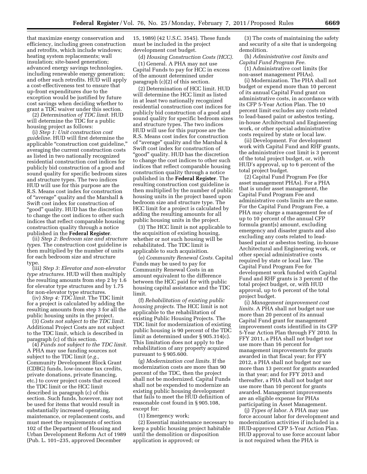that maximize energy conservation and efficiency, including green construction and retrofits, which include windows; heating system replacements; wall insulation; site-based generation; advanced energy savings technologies, including renewable energy generation; and other such retrofits. HUD will apply a cost-effectiveness test to ensure that up-front expenditures due to the exception would be justified by future cost savings when deciding whether to grant a TDC waiver under this section.

(2) *Determination of TDC limit.* HUD will determine the TDC for a public housing project as follows:

(i) *Step 1: Unit construction cost guideline.* HUD will first determine the applicable "construction cost guideline," averaging the current construction costs as listed in two nationally recognized residential construction cost indices for publicly bid construction of a good and sound quality for specific bedroom sizes and structure types. The two indices HUD will use for this purpose are the R.S. Means cost index for construction of ''average'' quality and the Marshall & Swift cost index for construction of ''good'' quality. HUD has the discretion to change the cost indices to other such indices that reflect comparable housing construction quality through a notice published in the **Federal Register**.

(ii) *Step 2: Bedroom size and structure types.* The construction cost guideline is then multiplied by the number of units for each bedroom size and structure type.

(iii) *Step 3: Elevator and non-elevator type structures.* HUD will then multiply the resulting amounts from step 2 by 1.6 for elevator type structures and by 1.75 for non-elevator type structures.

(iv) *Step 4: TDC limit.* The TDC limit for a project is calculated by adding the resulting amounts from step 3 for all the public housing units in the project.

(3) *Costs not subject to the TDC limit.*  Additional Project Costs are not subject to the TDC limit, which is described in paragraph (c) of this section.

(4) *Funds not subject to the TDC limit.*  A PHA may use funding sources not subject to the TDC limit (*e.g.,*  Community Development Block Grant (CDBG) funds, low-income tax credits, private donations, private financing, etc.) to cover project costs that exceed the TDC limit or the HCC limit described in paragraph (c) of this section. Such funds, however, may not be used for items that would result in substantially increased operating, maintenance, or replacement costs, and must meet the requirements of section 102 of the Department of Housing and Urban Development Reform Act of 1989 (Pub. L. 101–235, approved December

15, 1989) (42 U.S.C. 3545). These funds must be included in the project development cost budget.

(d) *Housing Construction Costs (HCC).*  (1) General. A PHA may not use Capital Funds to pay for HCC in excess of the amount determined under paragraph (c)(2) of this section.

(2) Determination of HCC limit. HUD will determine the HCC limit as listed in at least two nationally recognized residential construction cost indices for publicly bid construction of a good and sound quality for specific bedroom sizes and structure types. The two indices HUD will use for this purpose are the R.S. Means cost index for construction of ''average'' quality and the Marshal & Swift cost index for construction of ''good'' quality. HUD has the discretion to change the cost indices to other such indices that reflect comparable housing construction quality through a notice published in the **Federal Register**. The resulting construction cost guideline is then multiplied by the number of public housing units in the project based upon bedroom size and structure type. The HCC limit for a project is calculated by adding the resulting amounts for all public housing units in the project.

(3) The HCC limit is not applicable to the acquisition of existing housing, whether or not such housing will be rehabilitated. The TDC limit is applicable to such acquisition.

(e) *Community Renewal Costs.* Capital Funds may be used to pay for Community Renewal Costs in an amount equivalent to the difference between the HCC paid for with public housing capital assistance and the TDC limit.

(f) *Rehabilitation of existing public housing projects.* The HCC limit is not applicable to the rehabilitation of existing Public Housing Projects. The TDC limit for modernization of existing public housing is 90 percent of the TDC limit as determined under § 905.314(c). This limitation does not apply to the rehabilitation of any property acquired pursuant to § 905.600.

(g) *Modernization cost limits.* If the modernization costs are more than 90 percent of the TDC, then the project shall not be modernized. Capital Funds shall not be expended to modernize an existing public housing development that fails to meet the HUD definition of reasonable cost found in § 905.108, except for:

(1) Emergency work;

(2) Essential maintenance necessary to keep a public housing project habitable until the demolition or disposition application is approved; or

(3) The costs of maintaining the safety and security of a site that is undergoing demolition.

(h) *Administrative cost limits and Capital Fund Program Fee.* 

(1) Administrative cost limits (for non-asset management PHAs).

(i) Modernization. The PHA shall not budget or expend more than 10 percent of its annual Capital Fund grant on administrative costs, in accordance with its CFP 5-Year Action Plan. The 10 percent limit excludes any costs related to lead-based paint or asbestos testing, in-house Architectural and Engineering work, or other special administrative costs required by state or local law.

(ii) Development. For development work with Capital Fund and RHF grants, the administrative cost limit is 3 percent of the total project budget, or, with HUD's approval, up to 6 percent of the total project budget.

(2) Capital Fund Program Fee (for asset management PHAs). For a PHA that is under asset management, the Capital Fund Program Fee and administrative costs limits are the same. For the Capital Fund Program Fee, a PHA may charge a management fee of up to 10 percent of the annual CFP formula grant(s) amount, excluding emergency and disaster grants and also excluding any costs related to leadbased paint or asbestos testing, in-house Architectural and Engineering work, or other special administrative costs required by state or local law. The Capital Fund Program Fee for development work funded with Capital Fund and RHF grants is 3 percent of the total project budget, or, with HUD approval, up to 6 percent of the total project budget.

(i) *Management improvement cost limits.* A PHA shall not budget nor use more than 20 percent of its annual Capital Fund grant for management improvement costs identified in its CFP 5-Year Action Plan through FY 2010. In FFY 2011, a PHA shall not budget nor use more than 16 percent for management improvements for grants awarded in that fiscal year; for FFY 2012, a PHA shall not budget nor use more than 13 percent for grants awarded in that year; and for FFY 2013 and thereafter, a PHA shall not budget nor use more than 10 percent for grants awarded. Management improvements are an eligible expense for PHAs participating in Asset Management.

(j) *Types of labor.* A PHA may use force account labor for development and modernization activities if included in a HUD-approved CFP 5-Year Action Plan. HUD approval to use force account labor is not required when the PHA is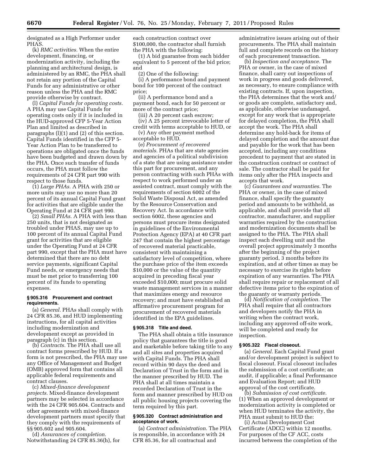designated as a High Performer under PHAS.

(k) *RMC activities.* When the entire development, financing, or modernization activity, including the planning and architectural design, is administered by an RMC, the PHA shall not retain any portion of the Capital Funds for any administrative or other reason unless the PHA and the RMC provide otherwise by contract.

(l) *Capital Funds for operating costs.*  A PHA may use Capital Funds for operating costs only if it is included in the HUD-approved CFP 5-Year Action Plan and limited as described in paragraphs (l)(1) and (2) of this section. Capital Funds identified in the CFP 5- Year Action Plan to be transferred to operations are obligated once the funds have been budgeted and drawn down by the PHA. Once such transfer of funds occurs, the PHA must follow the requirements of 24 CFR part 990 with respect to those funds.

(1) *Large PHAs.* A PHA with 250 or more units may use no more than 20 percent of its annual Capital Fund grant for activities that are eligible under the Operating Fund at 24 CFR part 990.

(2) *Small PHAs.* A PHA with less than 250 units, that is not designated as troubled under PHAS, may use up to 100 percent of its annual Capital Fund grant for activities that are eligible under the Operating Fund at 24 CFR part 990, except that the PHA must have determined that there are no debt service payments, significant Capital Fund needs, or emergency needs that must be met prior to transferring 100 percent of its funds to operating expenses.

#### **§ 905.316 Procurement and contract requirements.**

(a) *General.* PHAs shall comply with 24 CFR 85.36, and HUD implementing instructions, for all capital activities including modernization and development except as provided in paragraph (c) in this section.

(b) *Contracts.* The PHA shall use all contract forms prescribed by HUD. If a form is not prescribed, the PHA may use any Office of Management and Budget (OMB) approved form that contains all applicable federal requirements and contract clauses.

(c) *Mixed-finance development projects.* Mixed-finance development partners may be selected in accordance with the 24 CFR 905.604. Contracts and other agreements with mixed-finance development partners must specify that they comply with the requirements of §§ 905.602 and 905.604.

(d) *Assurances of completion.*  Notwithstanding 24 CFR 85.36(h), for each construction contract over \$100,000, the contractor shall furnish the PHA with the following:

(1) A bid guarantee from each bidder equivalent to 5 percent of the bid price; and

(2) One of the following:

(i) A performance bond and payment bond for 100 percent of the contract price;

(ii) A performance bond and a payment bond, each for 50 percent or more of the contract price;

(iii) A 20 percent cash escrow; (iv) A 25 percent irrevocable letter of credit with terms acceptable to HUD, or

(v) Any other payment method

acceptable to HUD.

(e) *Procurement of recovered materials.* PHAs that are state agencies and agencies of a political subdivision of a state that are using assistance under this part for procurement, and any person contracting with such PHAs with respect to work performed under an assisted contract, must comply with the requirements of section 6002 of the Solid Waste Disposal Act, as amended by the Resource Conservation and Recovery Act. In accordance with section 6002, these agencies and persons must procure items designated in guidelines of the Environmental Protection Agency (EPA) at 40 CFR part 247 that contain the highest percentage of recovered material practicable, consistent with maintaining a satisfactory level of competition, where the purchase price of the item exceeds \$10,000 or the value of the quantity acquired in preceding fiscal year exceeded \$10,000; must procure solid waste management services in a manner that maximizes energy and resource recovery; and must have established an affirmative procurement program for procurement of recovered materials identified in the EPA guidelines.

### **§ 905.318 Title and deed.**

The PHA shall obtain a title insurance policy that guarantees the title is good and marketable before taking title to any and all sites and properties acquired with Capital Funds. The PHA shall record within 90 days the deed and Declaration of Trust in the form and in the manner prescribed by HUD. The PHA shall at all times maintain a recorded Declaration of Trust in the form and manner prescribed by HUD on all public housing projects covering the term required by this part.

#### **§ 905.320 Contract administration and acceptance of work.**

(a) *Contract administration.* The PHA is responsible, in accordance with 24 CFR 85.36, for all contractual and

administrative issues arising out of their procurements. The PHA shall maintain full and complete records on the history of each procurement transaction.

(b) *Inspection and acceptance.* The PHA or owner, in the case of mixed finance, shall carry out inspections of work in progress and goods delivered, as necessary, to ensure compliance with existing contracts. If, upon inspection, the PHA determines that the work and/ or goods are complete, satisfactory and, as applicable, otherwise undamaged, except for any work that is appropriate for delayed completion, the PHA shall accept the work. The PHA shall determine any hold-back for items of delayed completion and the amount due and payable for the work that has been accepted, including any conditions precedent to payment that are stated in the construction contract or contract of sale. The contractor shall be paid for items only after the PHA inspects and accepts that work.

(c) *Guarantees and warranties.* The PHA or owner, in the case of mixed finance, shall specify the guaranty period and amounts to be withheld, as applicable, and shall provide that all contractor, manufacturer, and supplier warranties required by the construction and modernization documents shall be assigned to the PHA. The PHA shall inspect each dwelling unit and the overall project approximately 3 months after the beginning of the project guaranty period, 3 months before its expiration, and at other times as may be necessary to exercise its rights before expiration of any warranties. The PHA shall require repair or replacement of all defective items prior to the expiration of the guaranty or warranty periods.

(d) *Notification of completion.* The PHA shall require that all contractors and developers notify the PHA in writing when the contract work, including any approved off-site work, will be completed and ready for inspection.

#### **§ 905.322 Fiscal closeout.**

(a) *General.* Each Capital Fund grant and/or development project is subject to fiscal closeout. Fiscal closeout includes the submission of a cost certificate; an audit, if applicable; a final Performance and Evaluation Report; and HUD approval of the cost certificate.

(b) *Submission of cost certificate.*  (1) When an approved development or modernization activity is completed or when HUD terminates the activity, the PHA must submit to HUD the:

(i) Actual Development Cost Certificate (ADCC) within 12 months. For purposes of the CF ACC, costs incurred between the completion of the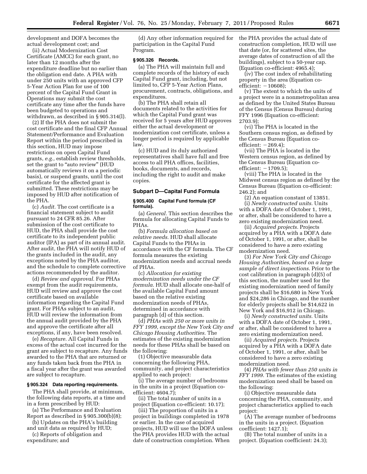development and DOFA becomes the actual development cost; and

(ii) Actual Modernization Cost Certificate (AMCC) for each grant, no later than 12 months after the expenditure deadline but no earlier than the obligation end date. A PHA with under 250 units with an approved CFP 5-Year Action Plan for use of 100 percent of the Capital Fund Grant in Operations may submit the cost certificate any time after the funds have been budgeted to operations and withdrawn, as described in § 905.314(l).

(2) If the PHA does not submit the cost certificate and the final CFP Annual Statement/Performance and Evaluation Report within the period prescribed in this section, HUD may impose restrictions on open Capital Fund grants, *e.g.,* establish review thresholds, set the grant to "auto review" (HUD automatically reviews it on a periodic basis), or suspend grants, until the cost certificate for the affected grant is submitted. These restrictions may be imposed by HUD after notification of the PHA.

(c) *Audit.* The cost certificate is a financial statement subject to audit pursuant to 24 CFR 85.26. After submission of the cost certificate to HUD, the PHA shall provide the cost certificate to its independent public auditor (IPA) as part of its annual audit. After audit, the PHA will notify HUD of the grants included in the audit, any exceptions noted by the PHA auditor, and the schedule to complete corrective actions recommended by the auditor.

(d) *Review and approval.* For PHAs exempt from the audit requirements, HUD will review and approve the cost certificate based on available information regarding the Capital Fund grant. For PHAs subject to an audit, HUD will review the information from the annual audit provided by the PHA and approve the certificate after all exceptions, if any, have been resolved.

(e) *Recapture.* All Capital Funds in excess of the actual cost incurred for the grant are subject to recapture. Any funds awarded to the PHA that are returned or any funds taken back from the PHA in a fiscal year after the grant was awarded are subject to recapture.

#### **§ 905.324 Data reporting requirements.**

The PHA shall provide, at minimum, the following data reports, at a time and in a form prescribed by HUD:

(a) The Performance and Evaluation Report as described in § 905.300(b)(8);

(b) Updates on the PHA's building and unit data as required by HUD;

(c) Reports of obligation and expenditure; and

(d) Any other information required for participation in the Capital Fund Program.

#### **§ 905.326 Records.**

(a) The PHA will maintain full and complete records of the history of each Capital Fund grant, including, but not limited to, CFP 5-Year Action Plans, procurement, contracts, obligations, and expenditures.

(b) The PHA shall retain all documents related to the activities for which the Capital Fund grant was received for 5 years after HUD approves either the actual development or modernization cost certificate, unless a longer period is required by applicable law.

(c) HUD and its duly authorized representatives shall have full and free access to all PHA offices, facilities, books, documents, and records, including the right to audit and make copies.

### **Subpart D—Capital Fund Formula**

#### **§ 905.400 Capital Fund formula (CF formula).**

(a) *General.* This section describes the formula for allocating Capital Funds to PHAs.

(b) *Formula allocation based on relative needs.* HUD shall allocate Capital Funds to the PHAs in accordance with the CF formula. The CF formula measures the existing modernization needs and accrual needs of PHAs.

(c) *Allocation for existing modernization needs under the CF formula.* HUD shall allocate one-half of the available Capital Fund amount based on the relative existing modernization needs of PHAs, determined in accordance with paragraph (d) of this section.

(d) *PHAs with 250 or more units in FFY 1999, except the New York City and Chicago Housing Authorities.* The estimates of the existing modernization needs for these PHAs shall be based on the following:

(1) Objective measurable data concerning the following PHA, community, and project characteristics applied to each project:

(i) The average number of bedrooms in the units in a project (Equation coefficient: 4604.7);

(ii) The total number of units in a project (Equation co-efficient: 10.17);

(iii) The proportion of units in a project in buildings completed in 1978 or earlier. In the case of acquired projects, HUD will use the DOFA unless the PHA provides HUD with the actual date of construction completion. When

the PHA provides the actual date of construction completion, HUD will use that date (or, for scattered sites, the average dates of construction of all the buildings), subject to a 50-year cap. (Equation co-efficient: 4965.4);

(iv) The cost index of rehabilitating property in the area (Equation coefficient:  $-10608$ );

(v) The extent to which the units of a project were in a nonmetropolitan area as defined by the United States Bureau of the Census (Census Bureau) during FFY 1996 (Equation co-efficient: 2703.9);

(vi) The PHA is located in the Southern census region, as defined by the Census Bureau (Equation coefficient:  $-269.4$ );

(vii) The PHA is located in the Western census region, as defined by the Census Bureau (Equation coefficient:  $-1709.5$ );

(viii) The PHA is located in the Midwest census region as defined by the Census Bureau (Equation co-efficient: 246.2); and

(2) An equation constant of 13851. (i) *Newly constructed units.* Units with a DOFA date of October 1, 1991, or after, shall be considered to have a zero existing modernization need.

(ii) *Acquired projects.* Projects acquired by a PHA with a DOFA date of October 1, 1991, or after, shall be considered to have a zero existing modernization need.

(3) *For New York City and Chicago Housing Authorities, based on a large sample of direct inspections.* Prior to the cost calibration in paragraph (d)(5) of this section, the number used for the existing modernization need of family projects shall be \$16,680 in New York and \$24,286 in Chicago, and the number for elderly projects shall be \$14,622 in New York and \$16,912 in Chicago.

(i) *Newly constructed units.* Units with a DOFA date of October 1, 1991, or after, shall be considered to have a zero existing modernization need.

(ii) *Acquired projects.* Projects acquired by a PHA with a DOFA date of October 1, 1991, or after, shall be considered to have a zero existing modernization need.

(4) *PHAs with fewer than 250 units in FFY 1999.* The estimates of the existing modernization need shall be based on the following:

(i) Objective measurable data concerning the PHA, community, and project characteristics applied to each project:

(A) The average number of bedrooms in the units in a project. (Equation coefficient: 1427.1);

(B) The total number of units in a project. (Equation coefficient: 24.3);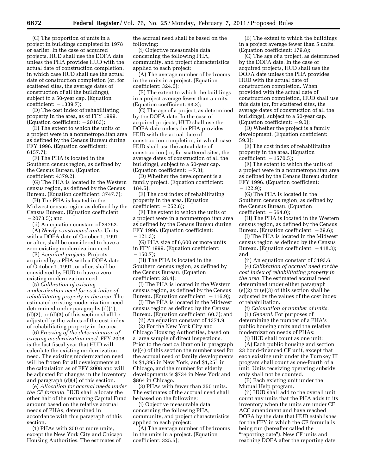(C) The proportion of units in a project in buildings completed in 1978 or earlier. In the case of acquired projects, HUD shall use the DOFA date unless the PHA provides HUD with the actual date of construction completion, in which case HUD shall use the actual date of construction completion (or, for scattered sites, the average dates of construction of all the buildings), subject to a 50-year cap. (Equation  $coefficient: -1389.7);$ 

(D) The cost index of rehabilitating property in the area, as of FFY 1999. (Equation coefficient:  $-20163$ );

(E) The extent to which the units of a project were in a nonmetropolitan area as defined by the Census Bureau during FFY 1996. (Equation coefficient: 6157.7);

(F) The PHA is located in the Southern census region, as defined by the Census Bureau. (Equation coefficient: 4379.2);

(G) The PHA is located in the Western census region, as defined by the Census Bureau. (Equation coefficient: 3747.7);

(H) The PHA is located in the Midwest census region as defined by the Census Bureau. (Equation coefficient:  $-2073.5$ ; and

(ii) An equation constant of 24762.

(A) *Newly constructed units.* Units with a DOFA date of October 1, 1991, or after, shall be considered to have a zero existing modernization need.

(B) *Acquired projects.* Projects acquired by a PHA with a DOFA date of October 1, 1991, or after, shall be considered by HUD to have a zero existing modernization need.

(5) *Calibration of existing modernization need for cost index of rehabilitating property in the area.* The estimated existing modernization need determined under paragraphs (d)(1),  $(d)(2)$ , or  $(d)(3)$  of this section shall be adjusted by the values of the cost index of rehabilitating property in the area.

(6) *Freezing of the determination of existing modernization need.* FFY 2008 is the last fiscal year that HUD will calculate the existing modernization need. The existing modernization need will be frozen for all developments at the calculation as of FFY 2008 and will be adjusted for changes in the inventory and paragraph (d)(4) of this section.

(e) *Allocation for accrual needs under the CF formula.* HUD shall allocate the other half of the remaining Capital Fund amount based on the relative accrual needs of PHAs, determined in accordance with this paragraph of this section.

(1) PHAs with 250 or more units, except the New York City and Chicago Housing Authorities. The estimates of

the accrual need shall be based on the following:

(i) Objective measurable data concerning the following PHA, community, and project characteristics applied to each project:

(A) The average number of bedrooms in the units in a project. (Equation coefficient: 324.0);

(B) The extent to which the buildings in a project average fewer than 5 units. (Equation coefficient: 93.3);

(C) The age of a project, as determined by the DOFA date. In the case of acquired projects, HUD shall use the DOFA date unless the PHA provides HUD with the actual date of construction completion, in which case HUD shall use the actual date of construction (or, for scattered sites, the average dates of construction of all the buildings), subject to a 50-year cap. (Equation coefficient:  $-7.8$ );

(D) Whether the development is a family project. (Equation coefficient: 184.5);

(E) The cost index of rehabilitating property in the area. (Equation coefficient:  $-252.8$ );

(F) The extent to which the units of a project were in a nonmetropolitan area as defined by the Census Bureau during FFY 1996. (Equation coefficient:  $-121.3$ ;

(G) PHA size of 6,600 or more units in FFY 1999. (Equation coefficient:  $(150.7);$ 

(H) The PHA is located in the Southern census region, as defined by the Census Bureau. (Equation coefficient: 28.4);

(I) The PHA is located in the Western census region, as defined by the Census Bureau. (Equation coefficient:  $-116.9$ );

(J) The PHA is located in the Midwest census region as defined by the Census Bureau. (Equation coefficient: 60.7); and

(ii) An equation constant of 1371.9.

(2) For the New York City and Chicago Housing Authorities, based on a large sample of direct inspections. Prior to the cost calibration in paragraph (e)(4) of this section the number used for the accrual need of family developments is \$1,395 in New York, and \$1,251 in Chicago, and the number for elderly developments is \$734 in New York and \$864 in Chicago.

(3) PHAs with fewer than 250 units. The estimates of the accrual need shall be based on the following:

(i) Objective measurable data concerning the following PHA, community, and project characteristics applied to each project:

(A) The average number of bedrooms in the units in a project. (Equation coefficient: 325.5);

(B) The extent to which the buildings in a project average fewer than 5 units. (Equation coefficient: 179.8);

(C) The age of a project, as determined by the DOFA date. In the case of acquired projects, HUD shall use the DOFA date unless the PHA provides HUD with the actual date of construction completion. When provided with the actual date of construction completion, HUD shall use this date (or, for scattered sites, the average dates of construction of all the buildings), subject to a 50-year cap. (Equation coefficient:  $-9.0$ );

(D) Whether the project is a family development. (Equation coefficient: 59.3);

(E) The cost index of rehabilitating property in the area. (Equation coefficient:  $-1570.5$ );

(F) The extent to which the units of a project were in a nonmetropolitan area as defined by the Census Bureau during FFY 1996. (Equation coefficient:  $-122.9$ :

(G) The PHA is located in the Southern census region, as defined by the Census Bureau. (Equation  $coefficient: -564.0;$ 

(H) The PHA is located in the Western census region, as defined by the Census Bureau. (Equation coefficient:  $-29.6$ );

(I) The PHA is located in the Midwest census region as defined by the Census Bureau. (Equation coefficient:  $-418.3$ ); and

(ii) An equation constant of 3193.6.

(4) *Calibration of accrual need for the cost index of rehabilitating property in the area.* The estimated accrual need determined under either paragraph (e)(2) or (e)(3) of this section shall be adjusted by the values of the cost index of rehabilitation.

(f) *Calculation of number of units.*  (1) *General.* For purposes of determining the number of a PHA's public housing units and the relative modernization needs of PHAs:

(i) HUD shall count as one unit:

(A) Each public housing and section 23 bond-financed CF unit, except that each existing unit under the Turnkey III program shall count as one-fourth of a unit. Units receiving operating subsidy only shall not be counted.

(B) Each existing unit under the Mutual Help program.

(ii) HUD shall add to the overall unit count any units that the PHA adds to its inventory when the units are under CF ACC amendment and have reached DOFA by the date that HUD establishes for the FFY in which the CF formula is being run (hereafter called the "reporting date"). New CF units and reaching DOFA after the reporting date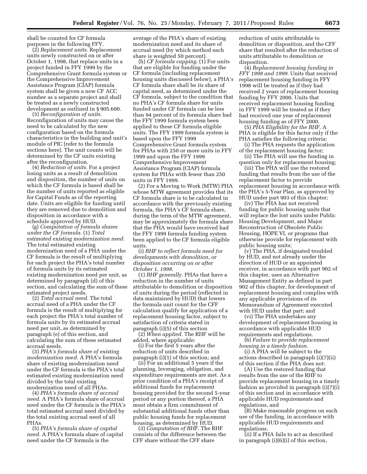shall be counted for CF formula purposes in the following FFY.

(2) *Replacement units.* Replacement units newly constructed on or after October 1, 1998, that replace units in a project funded in FFY 1999 by the Comprehensive Grant formula system or the Comprehensive Improvement Assistance Program (CIAP) formula system shall be given a new CF ACC number as a separate project and shall be treated as a newly constructed development as outlined in § 905.600.

(3) *Reconfiguration of units.*  Reconfiguration of units may cause the need to be calculated by the new configuration based on the formula characteristics in the building and unit's module of PIC (refer to the formula sections here). The unit counts will be determined by the CF units existing after the reconfiguration.

(4) *Reduction of units.* For a project losing units as a result of demolition and disposition, the number of units on which the CF formula is based shall be the number of units reported as eligible for Capital Funds as of the reporting date. Units are eligible for funding until they are removed due to demolition and disposition in accordance with a schedule approved by HUD.

(g) *Computation of formula shares under the CF formula.* (1) *Total estimated existing modernization need.*  The total estimated existing modernization need of a PHA under the CF formula is the result of multiplying for each project the PHA's total number of formula units by its estimated existing modernization need per unit, as determined by paragraph (d) of this section, and calculating the sum of these estimated project needs.

(2) *Total accrual need.* The total accrual need of a PHA under the CF formula is the result of multiplying for each project the PHA's total number of formula units by its estimated accrual need per unit, as determined by paragraph (e) of this section, and calculating the sum of these estimated accrual needs.

(3) *PHA's formula share of existing modernization need.* A PHA's formula share of existing modernization need under the CF formula is the PHA's total estimated existing modernization need divided by the total existing modernization need of all PHAs.

(4) *PHA's formula share of accrual need.* A PHA's formula share of accrual need under the CF formula is the PHA's total estimated accrual need divided by the total existing accrual need of all PHAs.

(5) *PHA's formula share of capital need.* A PHA's formula share of capital need under the CF formula is the

average of the PHA's share of existing modernization need and its share of accrual need (by which method each share is weighted 50 percent).

(h) *CF formula capping.* (1) For units that are eligible for funding under the CF formula (including replacement housing units discussed below), a PHA's CF formula share shall be its share of capital need, as determined under the CF formula, subject to the condition that no PHA's CF formula share for units funded under CF formula can be less than 94 percent of its formula share had the FFY 1999 formula system been applied to these CF formula eligible units. The FFY 1999 formula system is based upon the FFY 1999 Comprehensive Grant formula system for PHAs with 250 or more units in FFY 1999 and upon the FFY 1999 Comprehensive Improvement Assistance Program (CIAP) formula system for PHAs with fewer than 250 units in FFY 1999.

(2) For a Moving to Work (MTW) PHA whose MTW agreement provides that its CF formula share is to be calculated in accordance with the previously existing formula, the PHA's CF formula share, during the term of the MTW agreement, may be approximately the formula share that the PHA would have received had the FFY 1999 formula funding system been applied to the CF formula eligible units.

(i) *RHF to reflect formula need for developments with demolition, or disposition occurring on or after October 1, 1998.* 

(1) *RHF generally.* PHAs that have a reduction in the number of units attributable to demolition or disposition of units during the period (reflected in data maintained by HUD) that lowers the formula unit count for the CFF calculation qualify for application of a replacement housing factor, subject to satisfaction of criteria stated in paragraph (i)(5) of this section

(2) *When applied.* The RHF will be added, where applicable:

(i) For the first 5 years after the reduction of units described in paragraph (i)(1) of this section; and

(ii) For an additional 5 years if the planning, leveraging, obligation, and expenditure requirements are met. As a prior condition of a PHA's receipt of additional funds for replacement housing provided for the second 5-year period or any portion thereof, a PHA must obtain a firm commitment of substantial additional funds other than public housing funds for replacement housing, as determined by HUD.

(3) *Computation of RHF.* The RHF consists of the difference between the CFF share without the CFF share

reduction of units attributable to demolition or disposition, and the CFF share that resulted after the reduction of units attributable to demolition or disposition.

(4) *Replacement housing funding in FFY 1998 and 1999.* Units that received replacement housing funding in FFY 1998 will be treated as if they had received 2 years of replacement housing funding by FFY 2000. Units that received replacement housing funding in FFY 1999 will be treated as if they had received one year of replacement housing funding as of FFY 2000.

(5) *PHA Eligibility for the RHF.* A PHA is eligible for this factor only if the PHA satisfies the following criteria:

(i) The PHA requests the application of the replacement housing factor;

(ii) The PHA will use the funding in question only for replacement housing;

(iii) The PHA will use the restored funding that results from the use of the replacement factor to provide replacement housing in accordance with the PHA's 5-Year Plan, as approved by HUD under part 903 of this chapter;

(iv) The PHA has not received funding for public housing units that will replace the lost units under Public Housing Development, and Major Reconstruction of Obsolete Public Housing, HOPE VI, or programs that otherwise provide for replacement with public housing units;

(v) The PHA, if designated troubled by HUD, and not already under the direction of HUD or an appointed receiver, in accordance with part 902 of this chapter, uses an Alternative Management Entity as defined in part 902 of this chapter, for development of replacement housing and complies with any applicable provisions of its Memorandum of Agreement executed with HUD under that part; and

(vi) The PHA undertakes any development of replacement housing in accordance with applicable HUD requirements and regulations.

(6) *Failure to provide replacement housing in a timely fashion.* 

(i) A PHA will be subject to the actions described in paragraph (i)(7)(ii) of this section if the PHA does not:

(A) Use the restored funding that results from the use of the RHF to provide replacement housing in a timely fashion as provided in paragraph (i)(7)(i) of this section and in accordance with applicable HUD requirements and regulations, and

(B) Make reasonable progress on such use of the funding, in accordance with applicable HUD requirements and regulations.

(ii) If a PHA fails to act as described in paragraph (i)(6)(i) of this section,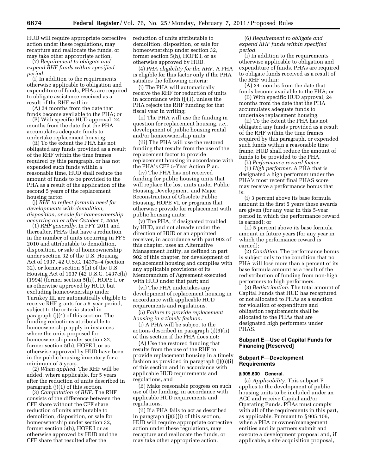HUD will require appropriate corrective action under these regulations, may recapture and reallocate the funds, or may take other appropriate action.

(7) *Requirement to obligate and expend RHF funds within specified period.* 

(i) In addition to the requirements otherwise applicable to obligation and expenditure of funds, PHAs are required to obligate assistance received as a result of the RHF within:

(A) 24 months from the date that funds become available to the PHA; or

(B) With specific HUD approval, 24 months from the date that the PHA accumulates adequate funds to undertake replacement housing.

(ii) To the extent the PHA has not obligated any funds provided as a result of the RHF within the time frames required by this paragraph, or has not expended such funds within a reasonable time, HUD shall reduce the amount of funds to be provided to the PHA as a result of the application of the second 5 years of the replacement housing factor.

(j) *RHF to reflect formula need for developments with demolition, disposition, or sale for homeownership occurring on or after October 1, 2009.* 

(1) *RHF generally.* In FFY 2011 and thereafter, PHAs that have a reduction in the number of units occurring in FFY 2010 and attributable to demolition, disposition, or sale of homeownership under section 32 of the U.S. Housing Act of 1937, 42 U.S.C. 1437z–4 (section 32), or former section 5(h) of the U.S. Housing Act of 1937 (42 U.S.C. 1437c(h) (1994) (former section 5(h)), HOPE I, or as otherwise approved by HUD, but excluding homeownership under Turnkey III, are automatically eligible to receive RHF grants for a 5-year period, subject to the criteria stated in paragraph (j)(4) of this section. The funding reductions attributable to homeownership apply in instances where the units proposed for homeownership under section 32, former section 5(h), HOPE I, or as otherwise approved by HUD have been in the public housing inventory for a minimum of 5 years.

(2) *When applied.* The RHF will be added, where applicable, for 5 years after the reduction of units described in paragraph (j)(1) of this section.

(3) *Computation of RHF.* The RHF consists of the difference between the CFF share without the CFF share reduction of units attributable to demolition, disposition, or sale for homeownership under section 32, former section 5(h), HOPE I or as otherwise approved by HUD and the CFF share that resulted after the

reduction of units attributable to demolition, disposition, or sale for homeownership under section 32, former section 5(h), HOPE I, or as otherwise approved by HUD.

(4) *PHA eligibility for the RHF.* A PHA is eligible for this factor only if the PHA satisfies the following criteria:

(i) The PHA will automatically receive the RHF for reduction of units in accordance with (j)(1), unless the PHA rejects the RHF funding for that fiscal year in writing;

(ii) The PHA will use the funding in question for replacement housing, *i.e.,*  development of public housing rental and/or homeownership units;

(iii) The PHA will use the restored funding that results from the use of the replacement factor to provide replacement housing in accordance with the PHA's CFP 5-Year Action Plan.

(iv) The PHA has not received funding for public housing units that will replace the lost units under Public Housing Development, and Major Reconstruction of Obsolete Public Housing, HOPE VI, or programs that otherwise provide for replacement with public housing units;

(v) The PHA, if designated troubled by HUD, and not already under the direction of HUD or an appointed receiver, in accordance with part 902 of this chapter, uses an Alternative Management Entity, as defined in part 902 of this chapter, for development of replacement housing and complies with any applicable provisions of its Memorandum of Agreement executed with HUD under that part; and

(vi) The PHA undertakes any development of replacement housing in accordance with applicable HUD requirements and regulations.

(5) *Failure to provide replacement housing in a timely fashion.* 

(i) A PHA will be subject to the actions described in paragraph (j)(6)(ii) of this section if the PHA does not:

(A) Use the restored funding that results from the use of the RHF to provide replacement housing in a timely fashion as provided in paragraph (j)(6)(i) of this section and in accordance with applicable HUD requirements and regulations, and

(B) Make reasonable progress on such use of the funding, in accordance with applicable HUD requirements and regulations.

(ii) If a PHA fails to act as described in paragraph (j)(5)(i) of this section, HUD will require appropriate corrective action under these regulations, may recapture and reallocate the funds, or may take other appropriate action.

(6) *Requirement to obligate and expend RHF funds within specified period.* 

(i) In addition to the requirements otherwise applicable to obligation and expenditure of funds, PHAs are required to obligate funds received as a result of the RHF within:

(A) 24 months from the date that funds become available to the PHA; or

(B) With specific HUD approval, 24 months from the date that the PHA accumulates adequate funds to undertake replacement housing.

(ii) To the extent the PHA has not obligated any funds provided as a result of the RHF within the time frames required by this paragraph, or expended such funds within a reasonable time frame, HUD shall reduce the amount of funds to be provided to the PHA.

(k) *Performance reward factor.* 

(1) *High performer.* A PHA that is designated a high performer under the PHA's most recent final PHAS score may receive a performance bonus that is:

(i) 3 percent above its base formula amount in the first 5 years these awards are given (for any year in this 5-year period in which the performance reward is earned); or

(ii) 5 percent above its base formula amount in future years (for any year in which the performance reward is earned);

(2) *Condition.* The performance bonus is subject only to the condition that no PHA will lose more than 5 percent of its base formula amount as a result of the redistribution of funding from non-high performers to high performers.

(3) *Redistribution.* The total amount of Capital Funds that HUD has recaptured or not allocated to PHAs as a sanction for violation of expenditure and obligation requirements shall be allocated to the PHAs that are designated high performers under PHAS.

# **Subpart E—Use of Capital Funds for Financing [Reserved]**

# **Subpart F—Development Requirements**

#### **§ 905.600 General.**

(a) *Applicability.* This subpart F applies to the development of public housing units to be included under an ACC and receive Capital and/or Operating Funds. PHAs must comply with all of the requirements in this part, as applicable. Pursuant to § 905.106, when a PHA or owner/management entities and its partners submit and execute a development proposal and, if applicable, a site acquisition proposal,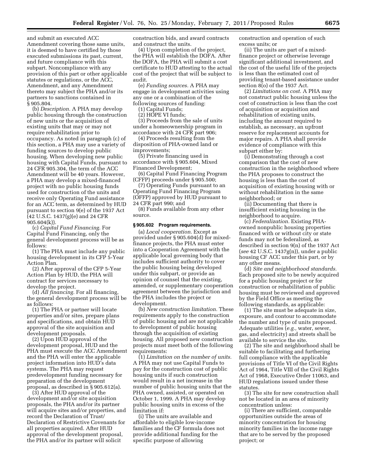and submit an executed ACC Amendment covering those same units, it is deemed to have certified by those executed submissions its past, current, and future compliance with this subpart. Noncompliance with any provision of this part or other applicable statutes or regulations, or the ACC, Amendment, and any Amendment thereto may subject the PHA and/or its partners to sanctions contained in § 905.804.

(b) *Description.* A PHA may develop public housing through the construction of new units or the acquisition of existing units that may or may not require rehabilitation prior to occupancy. As noted in paragraph (c) of this section, a PHA may use a variety of funding sources to develop public housing. When developing new public housing with Capital Funds, pursuant to 24 CFR 905.304, the term of the ACC Amendment will be 40 years. However, a PHA may develop a mixed-financed project with no public housing funds used for construction of the units and receive only Operating Fund assistance for an ACC term, as determined by HUD pursuant to section 9(e) of the 1937 Act (42 U.S.C. 1437(g)(e) and 24 CFR 905.604(k)).

(c) *Capital Fund Financing.* For Capital Fund Financing, only the general development process will be as follows:

(1) The PHA must include any public housing development in its CFP 5-Year Action Plan.

(2) After approval of the CFP 5-Year Action Plan by HUD, the PHA will contract for services necessary to develop the project.

(d) *All financing.* For all financing, the general development process will be as follows:

(1) The PHA or partner will locate properties and/or sites, prepare plans and specifications, and obtain HUD approval of the site acquisition and development proposals.

(2) Upon HUD approval of the development proposal, HUD and the PHA must execute the ACC Amendment and the PHA will enter the applicable project information into HUD's data systems. The PHA may request predevelopment funding necessary for preparation of the development proposal, as described in § 905.612(a).

(3) After HUD approval of the development and/or site acquisition proposals, the PHA and/or its partner will acquire sites and/or properties, and record the Declaration of Trust/ Declaration of Restrictive Covenants for all properties acquired. After HUD approval of the development proposal, the PHA and/or its partner will solicit

construction bids, and award contracts and construct the units.

(4) Upon completion of the project, the PHA will establish the DOFA. After the DOFA, the PHA will submit a cost certificate to HUD attesting to the actual cost of the project that will be subject to audit.

(e) *Funding sources.* A PHA may engage in development activities using any one or a combination of the following sources of funding:

(1) Capital Funds;

(2) HOPE VI funds;

(3) Proceeds from the sale of units under a homeownership program in accordance with 24 CFR part 906;

(4) Proceeds resulting from the disposition of PHA-owned land or improvements;

(5) Private financing used in accordance with § 905.604, Mixed Financed Development;

(6) Capital Fund Financing Program (CFFP) proceeds under § 905.500;

(7) Operating Funds pursuant to an Operating Fund Financing Program (OFFP) approved by HUD pursuant to 24 CFR part 990; and

(8) Funds available from any other source.

#### **§ 905.602 Program requirements.**

(a) *Local cooperation.* Except as provided under § 905.604(d) for mixedfinance projects, the PHA must enter into a Cooperation Agreement with the applicable local governing body that includes sufficient authority to cover the public housing being developed under this subpart, or provide an opinion of counsel that the existing, amended, or supplementary cooperation agreement between the jurisdiction and the PHA includes the project or development.

(b) *New construction limitation.* These requirements apply to the construction of public housing and are not applicable to development of public housing through the acquisition of existing housing. All proposed new construction projects must meet both of the following requirements:

(1) *Limitation on the number of units.*  A PHA may not use Capital Funds to pay for the construction cost of public housing units if such construction would result in a net increase in the number of public housing units that the PHA owned, assisted, or operated on October 1, 1999. A PHA may develop public housing units in excess of the limitation if:

(i) The units are available and affordable to eligible low-income families and the CF formula does not provide additional funding for the specific purpose of allowing

construction and operation of such excess units; or

(ii) The units are part of a mixedfinance project or otherwise leverage significant additional investment, and the cost of the useful life of the projects is less than the estimated cost of providing tenant-based assistance under section 8(o) of the 1937 Act.

(2) *Limitations on cost.* A PHA may not construct public housing unless the cost of construction is less than the cost of acquisition or acquisition and rehabilitation of existing units, including the amount required to establish, as necessary, an upfront reserve for replacement accounts for major repairs. A PHA shall provide evidence of compliance with this subpart either by:

(i) Demonstrating through a cost comparison that the cost of new construction in the neighborhood where the PHA proposes to construct the housing is less than the cost of acquisition of existing housing with or without rehabilitation in the same neighborhood; or

(ii) Documenting that there is insufficient existing housing in the neighborhood to acquire.

(c) *Federalization.* Existing PHAowned nonpublic housing properties financed with or without city or state funds may not be federalized, as described in section 9(n) of the 1937 Act (*see* 42 U.S.C. 1437g(n)), under a public housing CF ACC under this part, or by any other means.

(d) *Site and neighborhood standards.*  Each proposed site to be newly acquired for a public housing project or for construction or rehabilitation of public housing must be reviewed and approved by the Field Office as meeting the following standards, as applicable:

(1) The site must be adequate in size, exposure, and contour to accommodate the number and type of units proposed. Adequate utilities (*e.g.,* water, sewer, gas, and electricity) and streets shall be available to service the site.

(2) The site and neighborhood shall be suitable to facilitating and furthering full compliance with the applicable provisions of Title VI of the Civil Rights Act of 1964, Title VIII of the Civil Rights Act of 1968, Executive Order 11063, and HUD regulations issued under these statutes.

(3) The site for new construction shall not be located in an area of minority concentration unless:

(i) There are sufficient, comparable opportunities outside the areas of minority concentration for housing minority families in the income range that are to be served by the proposed project; or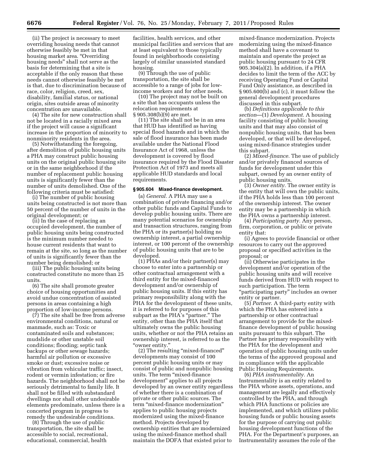(ii) The project is necessary to meet overriding housing needs that cannot otherwise feasibly be met in that housing market area. "Overriding housing needs'' shall not serve as the basis for determining that a site is acceptable if the only reason that these needs cannot otherwise feasibly be met is that, due to discrimination because of race, color, religion, creed, sex, disability, familial status, or national origin, sites outside areas of minority concentration are unavailable.

(4) The site for new construction shall not be located in a racially mixed area if the project will cause a significant increase in the proportion of minority to nonminority residents in the area.

(5) Notwithstanding the foregoing, after demolition of public housing units a PHA may construct public housing units on the original public housing site or in the same neighborhood if the number of replacement public housing units is significantly fewer than the number of units demolished. One of the following criteria must be satisfied:

(i) The number of public housing units being constructed is not more than 50 percent of the number of units in the original development; or

(ii) In the case of replacing an occupied development, the number of public housing units being constructed is the minimum number needed to house current residents that want to remain at the site, so long as the number of units is significantly fewer than the number being demolished; or

(iii) The public housing units being constructed constitute no more than 25 units.

(6) The site shall promote greater choice of housing opportunities and avoid undue concentration of assisted persons in areas containing a high proportion of low-income persons.

(7) The site shall be free from adverse environmental conditions, natural or manmade, such as: Toxic or contaminated soils and substances; mudslide or other unstable soil conditions; flooding; septic tank backups or other sewage hazards; harmful air pollution or excessive smoke or dust; excessive noise or vibration from vehicular traffic; insect, rodent or vermin infestation; or fire hazards. The neighborhood shall not be seriously detrimental to family life. It shall not be filled with substandard dwellings nor shall other undesirable elements predominate, unless there is a concerted program in progress to remedy the undesirable conditions.

(8) Through the use of public transportation, the site shall be accessible to social, recreational, educational, commercial, health

facilities, health services, and other municipal facilities and services that are at least equivalent to those typically found in neighborhoods consisting largely of similar unassisted standard housing.

(9) Through the use of public transportation, the site shall be accessible to a range of jobs for lowincome workers and for other needs.

(10) The project may not be built on a site that has occupants unless the relocation requirements at § 905.308(b)(9) are met.

(11) The site shall not be in an area that HUD has identified as having special flood hazards and in which the sale of flood insurance has been made available under the National Flood Insurance Act of 1968, unless the development is covered by flood insurance required by the Flood Disaster Protection Act of 1973 and meets all applicable HUD standards and local requirements.

# **§ 905.604 Mixed-finance development.**

(a) *General.* A PHA may use a combination of private financing and/or other public funds and Capital Funds to develop public housing units. There are many potential scenarios for ownership and transaction structures, ranging from the PHA or its partner(s) holding no ownership interest, a partial ownership interest, or 100 percent of the ownership of public housing units that are to be developed.

(1) PHAs and/or their partner(s) may choose to enter into a partnership or other contractual arrangement with a third entity for the mixed-financed development and/or ownership of public housing units. If this entity has primary responsibility along with the PHA for the development of these units, it is referred to for purposes of this subpart as the PHA's "partner." The entity, other than the PHA itself that ultimately owns the public housing units, whether or not the PHA retains an ownership interest, is referred to as the ''owner entity.''

(2) The resulting ''mixed-financed'' developments may consist of 100 percent public housing units or may consist of public and nonpublic housing units. The term "mixed-finance development'' applies to all projects developed by an owner entity regardless of whether there is a combination of private or other public sources. The term ''mixed-finance modernization'' applies to public housing projects modernized using the mixed-finance method. Projects developed by ownership entities that are modernized using the mixed-finance method shall maintain the DOFA that existed prior to

mixed-finance modernization. Projects modernizing using the mixed-finance method shall have a covenant to maintain and operate the project as public housing pursuant to 24 CFR 905.304(a)(2). In addition, if a PHA decides to limit the term of the ACC by receiving Operating Fund or Capital Fund Only assistance, as described in § 905.600(b) and (c), it must follow the general development procedures discussed in this subpart.

(b) *Definitions applicable to this section*—(1) *Development.* A housing facility consisting of public housing units and that may also consist of nonpublic housing units, that has been developed, or that will be developed, using mixed-finance strategies under this subpart.

(2) *Mixed-finance.* The use of publicly and/or privately financed sources of funds for development under this subpart, owned by an owner entity of public housing units.

(3) *Owner entity.* The owner entity is the entity that will own the public units, if the PHA holds less than 100 percent of the ownership interest. The owner entity may be a partnership in which the PHA owns a partnership interest.

(4) *Participating party.* Any person, firm, corporation, or public or private entity that:

(i) Agrees to provide financial or other resources to carry out the approved proposal or specified activities in the proposal; or

(ii) Otherwise participates in the development and/or operation of the public housing units and will receive funds derived from HUD with respect to such participation. The term ''participating party'' includes an owner entity or partner.

(5) *Partner.* A third-party entity with which the PHA has entered into a partnership or other contractual arrangement to provide for the mixedfinance development of public housing units pursuant to this subpart. The Partner has primary responsibility with the PHA for the development and operation of public housing units under the terms of the approved proposal and in compliance with the applicable Public Housing Requirements.

(6) *PHA instrumentality.* An Instrumentality is an entity related to the PHA whose assets, operations, and management are legally and effectively controlled by the PHA, and through which PHA functions or policies are implemented, and which utilizes public housing funds or public housing assets for the purpose of carrying out public housing development functions of the PHA. For the Department's purposes, an Instrumentality assumes the role of the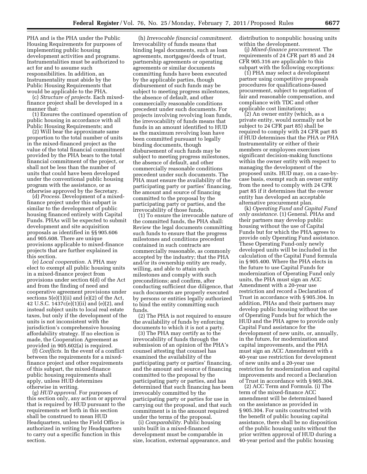PHA and is the PHA under the Public Housing Requirements for purposes of implementing public housing development activities and programs. Instrumentalities must be authorized to act for and to assume such responsibilities. In addition, an Instrumentality must abide by the Public Housing Requirements that would be applicable to the PHA.

(c) *Structure of projects.* Each mixedfinance project shall be developed in a manner that:

(1) Ensures the continued operation of public housing in accordance with all Public Housing Requirements; and

(2) Will bear the approximate same proportion to the total number of units in the mixed-financed project as the value of the total financial commitment provided by the PHA bears to the total financial commitment of the project, or shall not be less than the number of units that could have been developed under the conventional public housing program with the assistance, or as otherwise approved by the Secretary.

(d) *Process.* Development of a mixedfinance project under this subpart is similar to the development of public housing financed entirely with Capital Funds. PHAs will be expected to submit development and site acquisition proposals as identified in §§ 905.606 and 905.608. There are unique provisions applicable to mixed-finance projects that are further explained in this section.

(e) *Local cooperation.* A PHA may elect to exempt all public housing units in a mixed-finance project from provisions under section 6(d) of the Act and from the finding of need and cooperative agreement provisions under sections 5(e)(1)(ii) and (e)(2) of the Act, 42 U.S.C. 1437c(e)(1)(ii) and (e)(2), and instead subject units to local real estate taxes, but only if the development of the units is not inconsistent with the jurisdiction's comprehensive housing affordability strategy. If no election is made, the Cooperation Agreement as provided in 905.602(a) is required.

(f) *Conflicts.* In the event of a conflict between the requirements for a mixedfinance project and other requirements of this subpart, the mixed-finance public housing requirements shall apply, unless HUD determines otherwise in writing.

(g) *HUD approval.* For purposes of this section only, any action or approval that is required by HUD pursuant to the requirements set forth in this section shall be construed to mean HUD Headquarters, unless the Field Office is authorized in writing by Headquarters to carry out a specific function in this section.

(h) *Irrevocable financial commitment.*  Irrevocability of funds means that binding legal documents, such as loan agreements, mortgages/deeds of trust, partnership agreements or operating agreements or similar documents committing funds have been executed by the applicable parties, though disbursement of such funds may be subject to meeting progress milestones, the absence of default, and other commercially reasonable conditions precedent under such documents. For projects involving revolving loan funds, the irrevocability of funds means that funds in an amount identified to HUD as the maximum revolving loan have been committed pursuant to legally binding documents, though disbursement of such funds may be subject to meeting progress milestones, the absence of default, and other commercially reasonable conditions precedent under such documents. The PHA must ensure the availability of the participating party or parties' financing, the amount and source of financing committed to the proposal by the participating party or parties, and the irrevocability of those funds.

(1) To ensure the irrevocable nature of the committed funds, the PHA shall: Review the legal documents committing such funds to ensure that the progress milestones and conditions precedent contained in such contracts are commercially reasonable, as commonly accepted by the industry; that the PHA and/or its ownership entity are ready, willing, and able to attain such milestones and comply with such preconditions; and confirm, after conducting sufficient due diligence, that such documents are properly executed by persons or entities legally authorized to bind the entity committing such funds.

(2) The PHA is not required to ensure the availability of funds by enforcing documents to which it is not a party.

(3) The PHA may certify as to the irrevocability of funds through the submission of an opinion of the PHA's counsel attesting that counsel has examined the availability of the participating party or parties' financing, and the amount and source of financing committed to the proposal by the participating party or parties, and has determined that such financing has been irrevocably committed by the participating party or parties for use in carrying out the proposal, and that such commitment is in the amount required under the terms of the proposal.

(i) *Comparability.* Public housing units built in a mixed-financed development must be comparable in size, location, external appearance, and distribution to nonpublic housing units within the development.

(j) *Mixed-finance procurement.* The requirements of 24 CFR part 85 and 24 CFR 905.316 are applicable to this subpart with the following exceptions:

(1) PHA may select a development partner using competitive proposals procedures for qualifications-based procurement, subject to negotiation of fair and reasonable compensation, and compliance with TDC and other applicable cost limitations;

(2) An owner entity (which, as a private entity, would normally not be subject to 24 CFR part 85) shall be required to comply with 24 CFR part 85 if HUD determines that the PHA or PHA Instrumentality or either of their members or employees exercises significant decision-making functions within the owner entity with respect to managing the development of the proposed units. HUD may, on a case-bycase basis, exempt such an owner entity from the need to comply with 24 CFR part 85 if it determines that the owner entity has developed an acceptable alternative procurement plan.

(k) *Operating Fund and Capital Fund only assistance.* (1) General. PHAs and their partners may develop public housing without the use of Capital Funds but for which the PHA agrees to provide only Operating Fund assistance. These Operating Fund-only newly developed units will be included in the calculation of the Capital Fund formula in § 905.400. Where the PHA elects in the future to use Capital Funds for modernization of Operating Fund only units, the PHA must sign an ACC Amendment with a 20-year use restriction and record a Declaration of Trust in accordance with § 905.304. In addition, PHAs and their partners may develop public housing without the use of Operating Funds but for which the HUD and the PHA agree to provide only Capital Fund assistance for the development of new units, or, annually, in the future, for modernization and capital improvements, and the PHA must sign an ACC Amendment with a 40-year use restriction for development of new units and a 20-year use restriction for modernization and capital improvements and record a Declaration of Trust in accordance with § 905.304.

(2) ACC Term and Formula. (i) The term of the mixed-finance ACC amendment will be determined based on the assistance as provided in § 905.304. For units constructed with the benefit of public housing capital assistance, there shall be no disposition of the public housing units without the prior written approval of HUD during a 40-year period and the public housing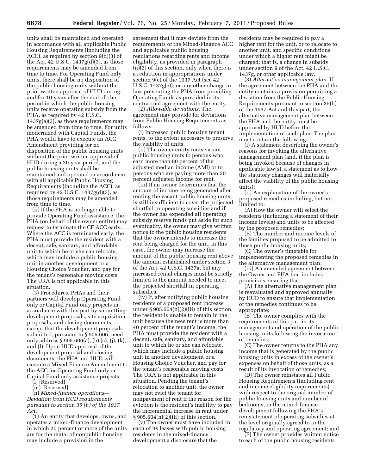units shall be maintained and operated in accordance with all applicable Public Housing Requirements (including the ACC), as required by section 9(d)(3) of the Act, 42 U.S.C. 1437g(d)(3), as those requirements may be amended from time to time. For Operating Fund only units, there shall be no disposition of the public housing units without the prior written approval of HUD during, and for 10 years after the end of, the period in which the public housing units receive operating subsidy from the PHA, as required by 42 U.S.C. 1437g(e)(3), as those requirements may be amended from time to time. For units modernized with Capital Funds, the PHA would have to execute an ACC Amendment providing for no disposition of the public housing units without the prior written approval of HUD during a 20-year period, and the public housing units shall be maintained and operated in accordance with all applicable Public Housing Requirements (including the ACC), as required by 42 U.S.C.  $1437g(d)(3)$ , as those requirements may be amended from time to time.

(ii) If the PHA is no longer able to provide Operating Fund assistance, the PHA (on behalf of the owner entity) may request to terminate the CF ACC early. Where the ACC is terminated early, the PHA must provide the resident with a decent, safe, sanitary, and affordable unit to which he or she can relocate, which may include a public housing unit in another development or a Housing Choice Voucher, and pay for the tenant's reasonable moving costs. The URA is not applicable in this situation.

(3) Procedures. PHAs and their partners will develop Operating Fund only or Capital Fund only projects in accordance with this part by submitting development proposals, site acquisition proposals, and closing documents, except that the development proposals submitted, pursuant to § 905.606, need only address § 905.606(a), (b) (c), (j), (k), and (l). Upon HUD approval of the development proposal and closing documents, the PHA and HUD will execute a Mixed-Finance Amendment to the ACC for Operating Fund only or Capital Fund only assistance projects.

(l) [Reserved]

(m) [Reserved]

(n) *Mixed-finance operations*— *Deviation from HUD requirements pursuant to section 35 (h) of the 1937 Act.* 

(1) An entity that develops, owns, and operates a mixed-finance development in which 20 percent or more of the units are for the rental of nonpublic housing may include a provision in the

agreement that it may deviate from the requirements of the Mixed-Finance ACC and applicable public housing regulations regarding rents and income eligibility, as provided in paragraph (n)(2) of this section, only when there is a reduction in appropriations under section 9(e) of the 1937 Act (see 42 U.S.C. 1437g(e)), or any other change in law preventing the PHA from providing Operating Funds as provided in its contractual agreement with the entity.

(2) *Allowable deviations.* The agreement may provide for deviations from Public Housing Requirements as follows:

(i) Increased public housing tenant rents, to the extent necessary to preserve the viability of units.

(ii) The owner entity rents vacant public housing units to persons who earn more than 80 percent of the adjusted median income (AMI) or to persons who are paying more than 30 percent adjusted income for rent.

(iii) If an owner determines that the amount of income being generated after renting the vacant public housing units is still insufficient to cover the projected shortfall in operating subsidies and if the owner has expended all operating subsidy reserve funds put aside for such eventuality, the owner may give written notice to the public housing residents that the owner intends to increase the rent being charged for the unit. In this case, the owner may increase the amount of the public housing rent above the amount established under section 3 of the Act, 42 U.S.C. 1437a, but any increased rental charges must be strictly limited to the amount needed to meet the projected shortfall in operating subsidies.

(iv) If, after notifying public housing residents of a proposed rent increase under  $\S 905.604(n)(2)(iii)$  of this section, the resident is unable to remain in the unit because the new rent is more than 40 percent of the tenant's income, the PHA must provide the resident with a decent, safe, sanitary, and affordable unit to which he or she can relocate, which may include a public housing unit in another development or a Housing Choice Voucher, and pay for the tenant's reasonable moving costs. The URA is not applicable in this situation. Pending the tenant's relocation to another unit, the owner may not evict the tenant for nonpayment of rent if the reason for the eviction is the resident's inability to pay the incremental increase in rent under  $§ 905.604(n)(2)(iii)$  of this section.

(v) The owner must have included in each of its leases with public housing residents in the mixed-finance development a disclosure that the

residents may be required to pay a higher rent for the unit, or to relocate to another unit, and specific conditions under which a higher rent might be charged; that is, a change in subsidy under section 9 of the Act, 42 U.S.C. 1437g, or other applicable law.

(3) *Alternative management plan.* If the agreement between the PHA and the entity contains a provision permitting a deviation from the Public Housing Requirements pursuant to section 35(h) of the 1937 Act and this part, the alternative management plan between the PHA and the entity must be approved by HUD before the implementation of such plan. The plan must contain the following:

(i) A statement describing the owner's reasons for invoking the alternative management plan (and, if the plan is being invoked because of changes in applicable law(s), a statement as to how the statutory changes will materially affect the viability of the public housing units);

(ii) An explanation of the owner's proposed remedies including, but not limited to:

(A) How the owner will select the residents (including a statement of their income levels) and units to be affected by the proposed remedies;

(B) The number and income levels of the families proposed to be admitted to those public housing units;

(C) The owner's timetable for implementing the proposed remedies in the alternative management plan;

(iii) An amended agreement between the Owner and PHA that includes provisions ensuring that:

(A) The alternative management plan is reevaluated and approved annually by HUD to ensure that implementation of the remedies continues to be appropriate;

(B) The owner complies with the requirements of this part in its management and operation of the public housing units following the invocation of remedies;

(C) The owner returns to the PHA any income that is generated by the public housing units in excess of the owner's expenses on behalf of those units, as a result of its invocation of remedies;

(D) The owner reinstates all Public Housing Requirements (including rent and income eligibility requirements) with respect to the original number of public housing units and number of bedrooms, in the mixed-finance development following the PHA's reinstatement of operating subsidies at the level originally agreed to in the regulatory and operating agreement; and

(E) The owner provides written notice to each of the public housing residents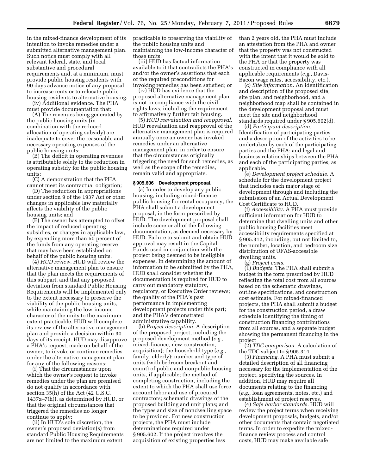in the mixed-finance development of its intention to invoke remedies under a submitted alternative management plan. Such notice must comply with all relevant federal, state, and local substantive and procedural requirements and, at a minimum, must provide public housing residents with 90 days advance notice of any proposal to increase rents or to relocate public housing residents to alternative housing.

(iv) Additional evidence. The PHA must provide documentation that:

(A) The revenues being generated by the public housing units (in combination with the reduced allocation of operating subsidy) are inadequate to cover the reasonable and necessary operating expenses of the public housing units;

(B) The deficit in operating revenues is attributable solely to the reduction in operating subsidy for the public housing units;

(C) A demonstration that the PHA cannot meet its contractual obligation;

(D) The reduction in appropriations under section 9 of the 1937 Act or other changes in applicable law materially affects the viability of the public housing units; and

(E) The owner has attempted to offset the impact of reduced operating subsidies, or changes in applicable law, by expending more than 50 percent of the funds from any operating reserve that may have been established on behalf of the public housing units.

(4) *HUD review.* HUD will review the alternative management plan to ensure that the plan meets the requirements of this subpart, and that any proposed deviation from standard Public Housing Requirements will be implemented only to the extent necessary to preserve the viability of the public housing units, while maintaining the low-income character of the units to the maximum extent practicable. HUD will complete its review of the alternative management plan and provide a decision within 30 days of its receipt. HUD may disapprove a PHA's request, made on behalf of the owner, to invoke or continue remedies under the alternative management plan for any of the following reasons:

(i) That the circumstances upon which the owner's request to invoke remedies under the plan are premised do not qualify in accordance with section 35(h) of the Act (42 U.S.C. 1437z–7(h)), as determined by HUD, or that the original circumstances that triggered the remedies no longer continue to apply;

(ii) In HUD's sole discretion, the owner's proposed deviation(s) from standard Public Housing Requirements are not limited to the maximum extent

practicable to preserving the viability of the public housing units and maintaining the low-income character of those units;

(iii) HUD has factual information available to it that contradicts the PHA's and/or the owner's assertions that each of the required preconditions for invoking remedies has been satisfied; or

(iv) HUD has evidence that the proposed alternative management plan is not in compliance with the civil rights laws, including the requirement to affirmatively further fair housing.

(5) *HUD reevaluation and reapproval.*  HUD reevaluation and reapproval of the alternative management plan is required annually once an owner has invoked remedies under an alternative management plan, in order to ensure that the circumstances originally triggering the need for such remedies, as well as the scope of the remedies, remain valid and appropriate.

#### **§ 905.606 Development proposal.**

(a) In order to develop any public housing, including mixed-finance public housing for rental occupancy, the PHA shall submit a development proposal, in the form prescribed by HUD. The development proposal shall include some or all of the following documentation, as deemed necessary by HUD. Failure to submit and obtain HUD approval may result in the Capital Funds used in conjunction with the project being deemed to be ineligible expenses. In determining the amount of information to be submitted by the PHA, HUD shall consider whether the documentation is required for HUD to carry out mandatory statutory, regulatory, or Executive Order reviews; the quality of the PHA's past performance in implementing development projects under this part; and the PHA's demonstrated administrative capability.

(b) *Project description.* A description of the proposed project, including the proposed development method (*e.g.,*  mixed-finance, new construction, acquisition); the household type (*e.g.,*  family, elderly); number and type of units (with bedroom breakout and count) of public and nonpublic housing units, if applicable; the method of completing construction, including the extent to which the PHA shall use force account labor and use of procured contractors; schematic drawings of the proposed building and unit plans; and the types and size of nondwelling space to be provided. For new construction projects, the PHA must include determinations required under § 905.602. If the project involves the acquisition of existing properties less

than 2 years old, the PHA must include an attestation from the PHA and owner that the property was not constructed with the intent that it would be sold to the PHA or that the property was constructed in compliance with all applicable requirements (*e.g.,* Davis-Bacon wage rates, accessibility, etc.).

(c) *Site information.* An identification and description of the proposed site, site plan, and neighborhood, and a neighborhood map shall be contained in the development proposal and must meet the site and neighborhood standards required under § 905.602(d).

(d) *Participant description.*  Identification of participating parties and a description of the activities to be undertaken by each of the participating parties and the PHA; and legal and business relationships between the PHA and each of the participating parties, as applicable.

(e) *Development project schedule.* A schedule for the development project that includes each major stage of development through and including the submission of an Actual Development Cost Certificate to HUD.

(f) *Accessibility.* A PHA must provide sufficient information for HUD to determine that dwelling units and other public housing facilities meet accessibility requirements specified at § 905.312, including, but not limited to, the number, location, and bedroom size distribution of UFAS-accessible dwelling units.

(g) *Project costs.* 

(1) *Budgets.* The PHA shall submit a budget in the form prescribed by HUD reflecting the total cost from all sources based on the schematic drawings, outline specifications, and construction cost estimate. For mixed-financed projects, the PHA shall submit a budget for the construction period, a draw schedule identifying the timing of construction financing contributions from all sources, and a separate budget showing the permanent financing in the project

(2) *TDC comparison.* A calculation of the TDC subject to § 905.314.

(3) *Financing.* A PHA must submit a detailed description of all financing necessary for the implementation of the project, specifying the sources. In addition, HUD may require all documents relating to the financing (*e.g.,* loan agreements, notes, etc.) and establishment of project reserves.

(4) *Safe harbor standards.* HUD will review the project terms when receiving development proposals, budgets, and/or other documents that contain negotiated terms. In order to expedite the mixedfinance review process and control costs, HUD may make available safe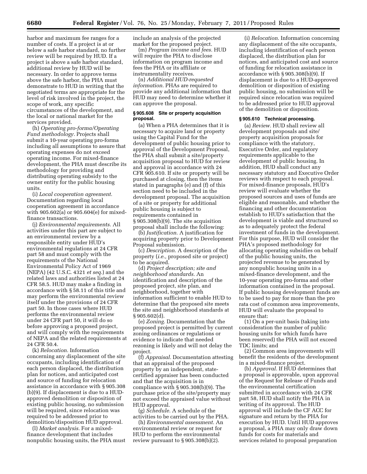harbor and maximum fee ranges for a number of costs. If a project is at or below a safe harbor standard, no further review will be required by HUD. If a project is above a safe harbor standard, additional review by HUD will be necessary. In order to approve terms above the safe harbor, the PHA must demonstrate to HUD in writing that the negotiated terms are appropriate for the level of risk involved in the project, the scope of work, any specific circumstances of the development, and the local or national market for the services provided.

(h) *Operating pro-forma/Operating Fund methodology.* Projects shall submit a 10-year operating pro-forma including all assumptions to assure that operating expenses do not exceed operating income. For mixed-finance development, the PHA must describe its methodology for providing and distributing operating subsidy to the owner entity for the public housing units.

(i) *Local cooperation agreement.*  Documentation regarding local cooperation agreement in accordance with 905.602(a) or 905.604(e) for mixedfinance transactions.

(j) *Environmental requirements.* All activities under this part are subject to an environmental review by a responsible entity under HUD's environmental regulations at 24 CFR part 58 and must comply with the requirements of the National Environmental Policy Act of 1969 (NEPA) (42 U.S.C. 4321 *et seq.*) and the related laws and authorities listed at 24 CFR 58.5. HUD may make a finding in accordance with § 58.11 of this title and may perform the environmental review itself under the provisions of 24 CFR part 50. In those cases where HUD performs the environmental review under 24 CFR part 50, it will do so before approving a proposed project, and will comply with the requirements of NEPA and the related requirements at 24 CFR 50.4.

(k) *Relocation.* Information concerning any displacement of the site occupants, including identification of each person displaced, the distribution plan for notices, and anticipated cost and source of funding for relocation assistance in accordance with § 905.308 (b)(9). If displacement is due to a HUDapproved demolition or disposition of existing public housing, no submission will be required, since relocation was required to be addressed prior to demolition/disposition HUD approval.

(l) *Market analysis.* For a mixedfinance development that includes nonpublic housing units, the PHA must include an analysis of the projected market for the proposed project.

(m) *Program income and fees.* HUD will require the PHA to disclose information on program income and fees the PHA or its affiliate or instrumentality receives.

(n) *Additional HUD-requested information.* PHAs are required to provide any additional information that HUD may need to determine whether it can approve the proposal.

#### **§ 905.608 Site or property acquisition proposal.**

(a) When a PHA determines that it is necessary to acquire land or property using the Capital Fund for the development of public housing prior to approval of the Development Proposal, the PHA shall submit a site/property acquisition proposal to HUD for review and approval in accordance with 24 CFR 905.610. If site or property will be purchased at closing, then the items stated in paragraphs (e) and (f) of this section need to be included in the development proposal. The acquisition of a site or property for additional public housing is subject to requirements contained in § 905.308(b)(9). The site acquisition proposal shall include the following:

(b) *Justification.* A justification for acquiring property prior to Development Proposal submission.

(c) *Description.* A description of the property (*i.e.,* proposed site or project) to be acquired.

(d) *Project description; site and neighborhood standards.* An identification and description of the proposed project, site plan, and neighborhood, together with information sufficient to enable HUD to determine that the proposed site meets the site and neighborhood standards at § 905.602(d).

(e) *Zoning.* Documentation that the proposed project is permitted by current zoning ordinances or regulations or evidence to indicate that needed rezoning is likely and will not delay the project.

(f) *Appraisal.* Documentation attesting that an appraisal of the proposed property by an independent, statecertified appraiser has been conducted and that the acquisition is in compliance with § 905.308(b)(9). The purchase price of the site/property may not exceed the appraised value without HUD approval.

(g) *Schedule.* A schedule of the activities to be carried out by the PHA.

(h) *Environmental assessment.* An environmental review or request for HUD to perform the environmental review pursuant to  $\S 905.308(b)(2)$ .

(i) *Relocation.* Information concerning any displacement of the site occupants, including identification of each person displaced, the distribution plan for notices, and anticipated cost and source of funding for relocation assistance in accordance with § 905.308(b)(9). If displacement is due to a HUD-approved demolition or disposition of existing public housing, no submission will be required since relocation was required to be addressed prior to HUD approval of the demolition or disposition.

#### **§ 905.610 Technical processing.**

(a) *Review.* HUD shall review all development proposals and site/ property acquisition proposals for compliance with the statutory, Executive Order, and regulatory requirements applicable to the development of public housing. In addition, HUD shall conduct any necessary statutory and Executive Order reviews with respect to each proposal. For mixed-finance proposals, HUD's review will evaluate whether the proposed sources and uses of funds are eligible and reasonable, and whether the financing and other documentation establish to HUD's satisfaction that the development is viable and structured so as to adequately protect the federal investment of funds in the development. For this purpose, HUD will consider the PHA's proposed methodology for allocating operating subsidies on behalf of the public housing units, the projected revenue to be generated by any nonpublic housing units in a mixed-finance development, and the 10-year operating pro-forma and other information contained in the proposal. If public housing development funds are to be used to pay for more than the pro rata cost of common area improvements, HUD will evaluate the proposal to ensure that:

(1) On a per-unit basis (taking into consideration the number of public housing units for which funds have been reserved) the PHA will not exceed TDC limits; and

(2) Common area improvements will benefit the residents of the development in a mixed-finance project.

(b) *Approval.* If HUD determines that a proposal is approvable, upon approval of the Request for Release of Funds and the environmental certification submitted in accordance with 24 CFR part 58, HUD shall notify the PHA in writing of its approval. The HUD approval will include the CF ACC for signature and return by the PHA for execution by HUD. Until HUD approves a proposal, a PHA may only draw down funds for costs for materials and services related to proposal preparation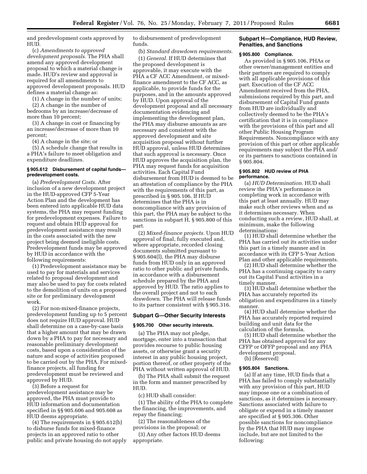and predevelopment costs approved by HUD.

(c) *Amendments to approved development proposals.* The PHA shall amend any approved development proposal to which a material change is made. HUD's review and approval is required for all amendments to approved development proposals. HUD defines a material change as:

(1) A change in the number of units;

(2) A change in the number of bedrooms by an increase/decrease of more than 10 percent;

(3) A change in cost or financing by an increase/decrease of more than 10 percent;

(4) A change in the site; or

(5) A schedule change that results in a PHA's failure to meet obligation and expenditure deadlines.

# **§ 905.612 Disbursement of capital funds predevelopment costs.**

(a) *Predevelopment Costs.* After inclusion of a new development project in the HUD-approved CFP 5-Year Action Plan and the development has been entered into applicable HUD data systems, the PHA may request funding for predevelopment expenses. Failure to request and obtain HUD approval for predevelopment assistance may result in the costs associated with the new project being deemed ineligible costs. Predevelopment funds may be approved by HUD in accordance with the following requirements:

(1) Predevelopment assistance may be used to pay for materials and services related to proposal development and may also be used to pay for costs related to the demolition of units on a proposed site or for preliminary development work.

(2) For non-mixed-finance projects, predevelopment funding up to 5 percent does not require HUD approval. HUD shall determine on a case-by-case basis that a higher amount that may be drawn down by a PHA to pay for necessary and reasonable preliminary development costs, based upon a consideration of the nature and scope of activities proposed to be carried out by the PHA. For mixedfinance projects, all funding for predevelopment must be reviewed and approved by HUD.

(3) Before a request for predevelopment assistance may be approved, the PHA must provide to HUD information and documentation specified in §§ 905.606 and 905.608 as HUD deems appropriate.

(4) The requirements in § 905.612(b) to disburse funds for mixed-finance projects in an approved ratio to other public and private housing do not apply to disbursement of predevelopment funds.

(b) *Standard drawdown requirements.* 

(1) *General.* If HUD determines that the proposed development is approvable, it may execute with the PHA a CF ACC Amendment, or mixedfinance amendment to the CF ACC, as applicable, to provide funds for the purposes, and in the amounts approved by HUD. Upon approval of the development proposal and all necessary documentation evidencing and implementing the development plan, the PHA may disburse amounts as are necessary and consistent with the approved development and site acquisition proposal without further HUD approval, unless HUD determines that such approval is necessary. Once HUD approves the acquisition plan, the PHA may request funds for acquisition activities. Each Capital Fund disbursement from HUD is deemed to be an attestation of compliance by the PHA with the requirements of this part, as prescribed in § 905.106. If HUD determines that the PHA is in noncompliance with any provision of this part, the PHA may be subject to the sanctions in subpart H, § 905.800 of this part.

(2) *Mixed-finance projects.* Upon HUD approval of final, fully executed and, where appropriate, recorded closing documents submitted pursuant to § 905.604(l), the PHA may disburse funds from HUD only in an approved ratio to other public and private funds, in accordance with a disbursement schedule prepared by the PHA and approved by HUD. The ratio applies to the overall project and not to each drawdown. The PHA will release funds to its partner consistent with § 905.316.

# **Subpart G—Other Security Interests**

# **§ 905.700 Other security interests.**

(a) The PHA may not pledge, mortgage, enter into a transaction that provides recourse to public housing assets, or otherwise grant a security interest in any public housing project, portion thereof, or other property of the PHA without written approval of HUD.

(b) The PHA shall submit the request in the form and manner prescribed by HUD.

(c) HUD shall consider:

(1) The ability of the PHA to complete the financing, the improvements, and repay the financing;

(2) The reasonableness of the provisions in the proposal; or

(3) Any other factors HUD deems appropriate.

# **Subpart H—Compliance, HUD Review, Penalties, and Sanctions**

#### **§ 905.800 Compliance.**

As provided in § 905.106, PHAs or other owner/management entities and their partners are required to comply with all applicable provisions of this part. Execution of the CF ACC Amendment received from the PHA, submissions required by this part, and disbursement of Capital Fund grants from HUD are individually and collectively deemed to be the PHA's certification that it is in compliance with the provisions of this part and all other Public Housing Program Requirements. Noncompliance with any provision of this part or other applicable requirements may subject the PHA and/ or its partners to sanctions contained in § 905.804.

# **§ 905.802 HUD review of PHA performance.**

(a) *HUD Determination.* HUD shall review the PHA's performance in completing work in accordance with this part at least annually. HUD may make such other reviews when and as it determines necessary. When conducting such a review, HUD shall, at minimum, make the following determinations:

(1) HUD shall determine whether the PHA has carried out its activities under this part in a timely manner and in accordance with its CFP 5-Year Action Plan and other applicable requirements.

(2) HUD shall determine whether the PHA has a continuing capacity to carry out its Capital Fund activities in a timely manner.

(3) HUD shall determine whether the PHA has accurately reported its obligation and expenditures in a timely manner.

(4) HUD shall determine whether the PHA has accurately reported required building and unit data for the calculation of the formula.

(5) HUD shall determine whether the PHA has obtained approval for any CFFP or OFFP proposal and any PHA development proposal.

(b) [Reserved]

#### **§ 905.804 Sanctions.**

(a) If at any time, HUD finds that a PHA has failed to comply substantially with any provision of this part, HUD may impose one or a combination of sanctions, as it determines is necessary. Sanctions associated with failure to obligate or expend in a timely manner are specified at § 905.306. Other possible sanctions for noncompliance by the PHA that HUD may impose include, but are not limited to the following: